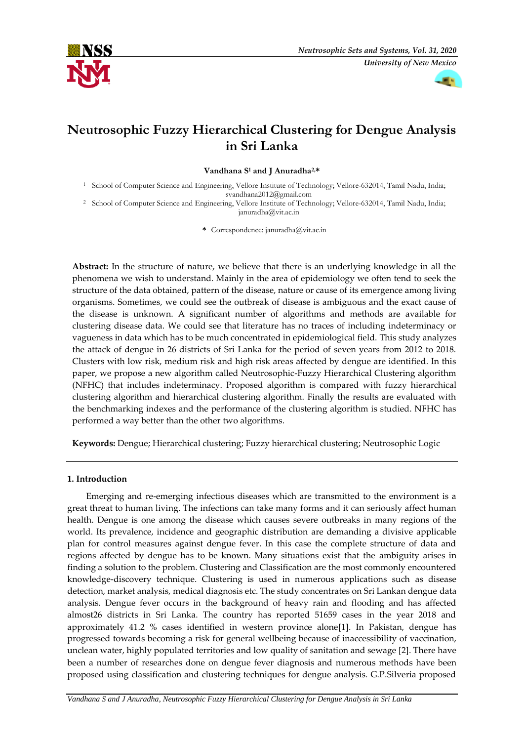



# **Neutrosophic Fuzzy Hierarchical Clustering for Dengue Analysis in Sri Lanka**

**Vandhana S<sup>1</sup> and J Anuradha2,\***

- <sup>1</sup> School of Computer Science and Engineering, Vellore Institute of Technology; Vellore-632014, Tamil Nadu, India; svandhana2012@gmail.com
- <sup>2</sup> School of Computer Science and Engineering, Vellore Institute of Technology; Vellore-632014, Tamil Nadu, India; januradha@vit.ac.in

**\*** Correspondence: januradha@vit.ac.in

**Abstract:** In the structure of nature, we believe that there is an underlying knowledge in all the phenomena we wish to understand. Mainly in the area of epidemiology we often tend to seek the structure of the data obtained, pattern of the disease, nature or cause of its emergence among living organisms. Sometimes, we could see the outbreak of disease is ambiguous and the exact cause of the disease is unknown. A significant number of algorithms and methods are available for clustering disease data. We could see that literature has no traces of including indeterminacy or vagueness in data which has to be much concentrated in epidemiological field. This study analyzes the attack of dengue in 26 districts of Sri Lanka for the period of seven years from 2012 to 2018. Clusters with low risk, medium risk and high risk areas affected by dengue are identified. In this paper, we propose a new algorithm called Neutrosophic-Fuzzy Hierarchical Clustering algorithm (NFHC) that includes indeterminacy. Proposed algorithm is compared with fuzzy hierarchical clustering algorithm and hierarchical clustering algorithm. Finally the results are evaluated with the benchmarking indexes and the performance of the clustering algorithm is studied. NFHC has performed a way better than the other two algorithms.

**Keywords:** Dengue; Hierarchical clustering; Fuzzy hierarchical clustering; Neutrosophic Logic

# **1. Introduction**

Emerging and re-emerging infectious diseases which are transmitted to the environment is a great threat to human living. The infections can take many forms and it can seriously affect human health. Dengue is one among the disease which causes severe outbreaks in many regions of the world. Its prevalence, incidence and geographic distribution are demanding a divisive applicable plan for control measures against dengue fever. In this case the complete structure of data and regions affected by dengue has to be known. Many situations exist that the ambiguity arises in finding a solution to the problem. Clustering and Classification are the most commonly encountered knowledge-discovery technique. Clustering is used in numerous applications such as disease detection, market analysis, medical diagnosis etc. The study concentrates on Sri Lankan dengue data analysis. Dengue fever occurs in the background of heavy rain and flooding and has affected almost26 districts in Sri Lanka. The country has reported 51659 cases in the year 2018 and approximately 41.2 % cases identified in western province alone[1]. In Pakistan, dengue has progressed towards becoming a risk for general wellbeing because of inaccessibility of vaccination, unclean water, highly populated territories and low quality of sanitation and sewage [2]. There have been a number of researches done on dengue fever diagnosis and numerous methods have been proposed using classification and clustering techniques for dengue analysis. G.P.Silveria proposed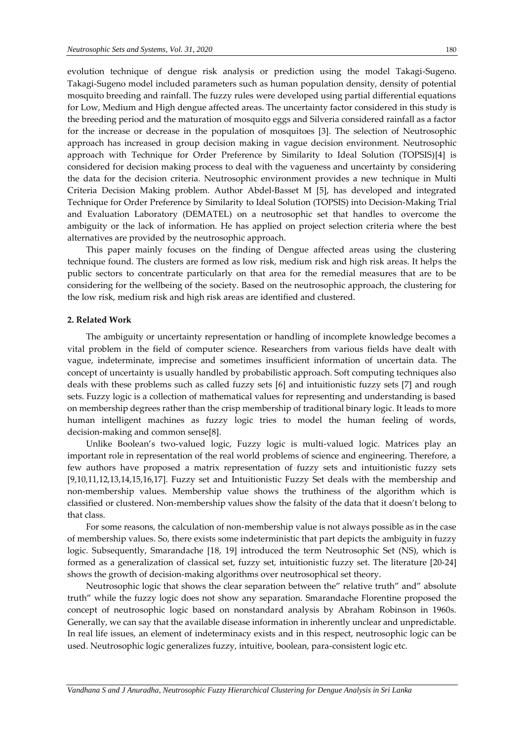evolution technique of dengue risk analysis or prediction using the model Takagi-Sugeno. Takagi-Sugeno model included parameters such as human population density, density of potential mosquito breeding and rainfall. The fuzzy rules were developed using partial differential equations for Low, Medium and High dengue affected areas. The uncertainty factor considered in this study is the breeding period and the maturation of mosquito eggs and Silveria considered rainfall as a factor for the increase or decrease in the population of mosquitoes [3]. The selection of Neutrosophic approach has increased in group decision making in vague decision environment. Neutrosophic approach with Technique for Order Preference by Similarity to Ideal Solution (TOPSIS)[4] is considered for decision making process to deal with the vagueness and uncertainty by considering the data for the decision criteria. Neutrosophic environment provides a new technique in Multi Criteria Decision Making problem. Author Abdel-Basset M [5], has developed and integrated Technique for Order Preference by Similarity to Ideal Solution (TOPSIS) into Decision-Making Trial and Evaluation Laboratory (DEMATEL) on a neutrosophic set that handles to overcome the ambiguity or the lack of information. He has applied on project selection criteria where the best alternatives are provided by the neutrosophic approach.

This paper mainly focuses on the finding of Dengue affected areas using the clustering technique found. The clusters are formed as low risk, medium risk and high risk areas. It helps the public sectors to concentrate particularly on that area for the remedial measures that are to be considering for the wellbeing of the society. Based on the neutrosophic approach, the clustering for the low risk, medium risk and high risk areas are identified and clustered.

#### **2. Related Work**

The ambiguity or uncertainty representation or handling of incomplete knowledge becomes a vital problem in the field of computer science. Researchers from various fields have dealt with vague, indeterminate, imprecise and sometimes insufficient information of uncertain data. The concept of uncertainty is usually handled by probabilistic approach. Soft computing techniques also deals with these problems such as called fuzzy sets [6] and intuitionistic fuzzy sets [7] and rough sets. Fuzzy logic is a collection of mathematical values for representing and understanding is based on membership degrees rather than the crisp membership of traditional binary logic. It leads to more human intelligent machines as fuzzy logic tries to model the human feeling of words, decision-making and common sense[8].

Unlike Boolean's two-valued logic, Fuzzy logic is multi-valued logic. Matrices play an important role in representation of the real world problems of science and engineering. Therefore, a few authors have proposed a matrix representation of fuzzy sets and intuitionistic fuzzy sets [9,10,11,12,13,14,15,16,17]. Fuzzy set and Intuitionistic Fuzzy Set deals with the membership and non-membership values. Membership value shows the truthiness of the algorithm which is classified or clustered. Non-membership values show the falsity of the data that it doesn't belong to that class.

For some reasons, the calculation of non-membership value is not always possible as in the case of membership values. So, there exists some indeterministic that part depicts the ambiguity in fuzzy logic. Subsequently, Smarandache [18, 19] introduced the term Neutrosophic Set (NS), which is formed as a generalization of classical set, fuzzy set, intuitionistic fuzzy set. The literature [20-24] shows the growth of decision-making algorithms over neutrosophical set theory.

Neutrosophic logic that shows the clear separation between the" relative truth" and" absolute truth" while the fuzzy logic does not show any separation. Smarandache Florentine proposed the concept of neutrosophic logic based on nonstandard analysis by Abraham Robinson in 1960s. Generally, we can say that the available disease information in inherently unclear and unpredictable. In real life issues, an element of indeterminacy exists and in this respect, neutrosophic logic can be used. Neutrosophic logic generalizes fuzzy, intuitive, boolean, para-consistent logic etc.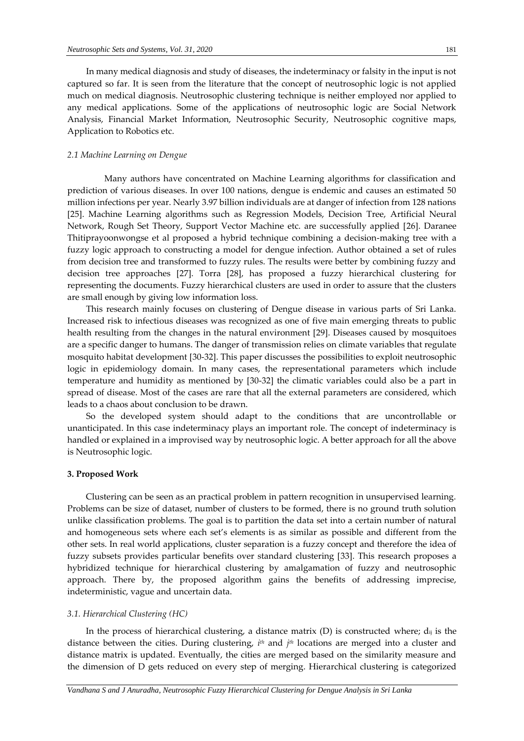In many medical diagnosis and study of diseases, the indeterminacy or falsity in the input is not captured so far. It is seen from the literature that the concept of neutrosophic logic is not applied much on medical diagnosis. Neutrosophic clustering technique is neither employed nor applied to any medical applications. Some of the applications of neutrosophic logic are Social Network Analysis, Financial Market Information, Neutrosophic Security, Neutrosophic cognitive maps, Application to Robotics etc.

#### *2.1 Machine Learning on Dengue*

Many authors have concentrated on Machine Learning algorithms for classification and prediction of various diseases. In over 100 nations, dengue is endemic and causes an estimated 50 million infections per year. Nearly 3.97 billion individuals are at danger of infection from 128 nations [25]. Machine Learning algorithms such as Regression Models, Decision Tree, Artificial Neural Network, Rough Set Theory, Support Vector Machine etc. are successfully applied [26]. Daranee Thitiprayoonwongse et al proposed a hybrid technique combining a decision-making tree with a fuzzy logic approach to constructing a model for dengue infection. Author obtained a set of rules from decision tree and transformed to fuzzy rules. The results were better by combining fuzzy and decision tree approaches [27]. Torra [28], has proposed a fuzzy hierarchical clustering for representing the documents. Fuzzy hierarchical clusters are used in order to assure that the clusters are small enough by giving low information loss.

This research mainly focuses on clustering of Dengue disease in various parts of Sri Lanka. Increased risk to infectious diseases was recognized as one of five main emerging threats to public health resulting from the changes in the natural environment [29]. Diseases caused by mosquitoes are a specific danger to humans. The danger of transmission relies on climate variables that regulate mosquito habitat development [30-32]. This paper discusses the possibilities to exploit neutrosophic logic in epidemiology domain. In many cases, the representational parameters which include temperature and humidity as mentioned by [30-32] the climatic variables could also be a part in spread of disease. Most of the cases are rare that all the external parameters are considered, which leads to a chaos about conclusion to be drawn.

So the developed system should adapt to the conditions that are uncontrollable or unanticipated. In this case indeterminacy plays an important role. The concept of indeterminacy is handled or explained in a improvised way by neutrosophic logic. A better approach for all the above is Neutrosophic logic.

#### **3. Proposed Work**

Clustering can be seen as an practical problem in pattern recognition in unsupervised learning. Problems can be size of dataset, number of clusters to be formed, there is no ground truth solution unlike classification problems. The goal is to partition the data set into a certain number of natural and homogeneous sets where each set's elements is as similar as possible and different from the other sets. In real world applications, cluster separation is a fuzzy concept and therefore the idea of fuzzy subsets provides particular benefits over standard clustering [33]. This research proposes a hybridized technique for hierarchical clustering by amalgamation of fuzzy and neutrosophic approach. There by, the proposed algorithm gains the benefits of addressing imprecise, indeterministic, vague and uncertain data.

#### *3.1. Hierarchical Clustering (HC)*

In the process of hierarchical clustering, a distance matrix  $(D)$  is constructed where;  $d_{ij}$  is the distance between the cities. During clustering, *i th* and *j th* locations are merged into a cluster and distance matrix is updated. Eventually, the cities are merged based on the similarity measure and the dimension of D gets reduced on every step of merging. Hierarchical clustering is categorized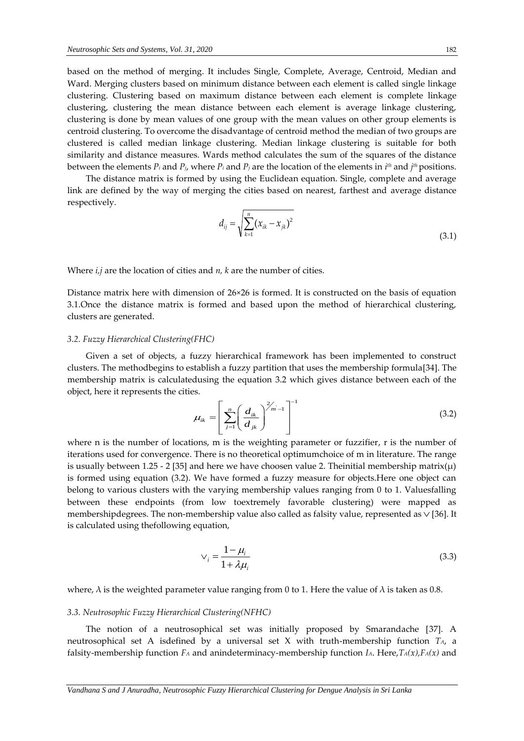based on the method of merging. It includes Single, Complete, Average, Centroid, Median and Ward. Merging clusters based on minimum distance between each element is called single linkage clustering. Clustering based on maximum distance between each element is complete linkage clustering, clustering the mean distance between each element is average linkage clustering, clustering is done by mean values of one group with the mean values on other group elements is centroid clustering. To overcome the disadvantage of centroid method the median of two groups are clustered is called median linkage clustering. Median linkage clustering is suitable for both similarity and distance measures. Wards method calculates the sum of the squares of the distance between the elements *P<sup>i</sup>* and *Pj*, where *P<sup>i</sup>* and *P<sup>j</sup>* are the location of the elements in *i th* and *j th*positions.

The distance matrix is formed by using the Euclidean equation. Single, complete and average link are defined by the way of merging the cities based on nearest, farthest and average distance respectively.

$$
d_{ij} = \sqrt{\sum_{k=1}^{n} (x_{ik} - x_{jk})^2}
$$
 (3.1)

Where *i,j* are the location of cities and *n, k* are the number of cities.

Distance matrix here with dimension of 26×26 is formed. It is constructed on the basis of equation 3.1.Once the distance matrix is formed and based upon the method of hierarchical clustering, clusters are generated.

#### *3.2. Fuzzy Hierarchical Clustering(FHC)*

Given a set of objects, a fuzzy hierarchical framework has been implemented to construct clusters. The methodbegins to establish a fuzzy partition that uses the membership formula[34]. The membership matrix is calculatedusing the equation 3.2 which gives distance between each of the object, here it represents the cities.

$$
\mu_{ik} = \left[ \sum_{j=1}^{n} \left( \frac{d_{ik}}{d_{jk}} \right)^{2/m-1} \right]^{-1}
$$
\n(3.2)

where n is the number of locations, m is the weighting parameter or fuzzifier, r is the number of iterations used for convergence. There is no theoretical optimumchoice of m in literature. The range is usually between 1.25 - 2 [35] and here we have choosen value 2. Theinitial membership matrix( $\mu$ ) is formed using equation (3.2). We have formed a fuzzy measure for objects.Here one object can belong to various clusters with the varying membership values ranging from 0 to 1. Valuesfalling between these endpoints (from low toextremely favorable clustering) were mapped as membershipdegrees. The non-membership value also called as falsity value, represented as  $\vee$  [36]. It is calculated using thefollowing equation,

$$
\vee_i = \frac{1 - \mu_i}{1 + \lambda \mu_i} \tag{3.3}
$$

where,  $\lambda$  is the weighted parameter value ranging from 0 to 1. Here the value of  $\lambda$  is taken as 0.8.

#### *3.3. Neutrosophic Fuzzy Hierarchical Clustering(NFHC)*

The notion of a neutrosophical set was initially proposed by Smarandache [37]. A neutrosophical set A isdefined by a universal set X with truth-membership function *TA*, a falsity-membership function *F<sup>A</sup>* and anindeterminacy-membership function *IA*. Here,*TA(x),FA(x)* and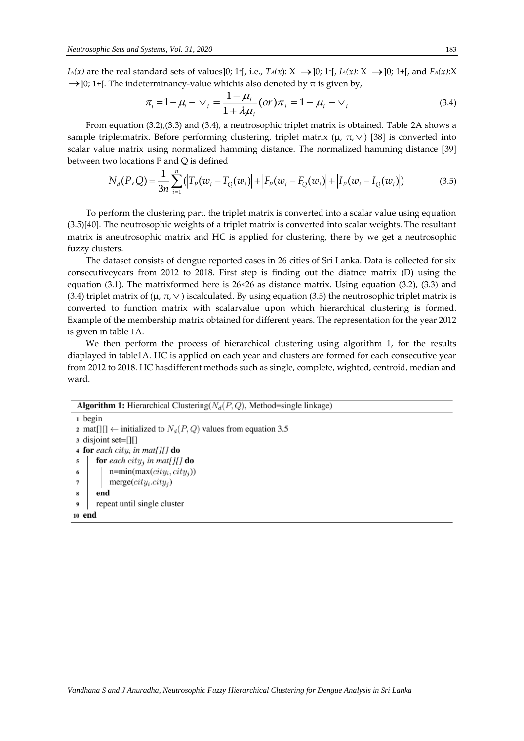*I*<sup>*A*</sup>(*x*) are the real standard sets of values]0; 1<sup>+</sup>[, i.e., *T<sub>A</sub>*(*x*):  $X \rightarrow ]0$ ; 1<sup>+</sup>[, *I<sub>A</sub>*(*x*):  $X \rightarrow ]0$ ; 1+[, and *F<sub>A</sub>*(*x*):  $X$  $\rightarrow$  ]0; 1+[. The indeterminancy-value whichis also denoted by  $\pi$  is given by,

$$
\pi_i = 1 - \mu_i - \nu_i = \frac{1 - \mu_i}{1 + \lambda \mu_i} (or) \pi_i = 1 - \mu_i - \nu_i
$$
\n(3.4)

From equation (3.2),(3.3) and (3.4), a neutrosophic triplet matrix is obtained. Table 2A shows a sample tripletmatrix. Before performing clustering, triplet matrix (μ,  $\pi$ , $\vee$ ) [38] is converted into scalar value matrix using normalized hamming distance. The normalized hamming distance [39] between two locations P and Q is defined

$$
N_d(P,Q) = \frac{1}{3n} \sum_{i=1}^n (|T_p(w_i - T_Q(w_i)| + |F_p(w_i - F_Q(w_i)| + |I_p(w_i - I_Q(w_i)|))
$$
(3.5)

To perform the clustering part. the triplet matrix is converted into a scalar value using equation (3.5)[40]. The neutrosophic weights of a triplet matrix is converted into scalar weights. The resultant matrix is aneutrosophic matrix and HC is applied for clustering, there by we get a neutrosophic fuzzy clusters.

The dataset consists of dengue reported cases in 26 cities of Sri Lanka. Data is collected for six consecutiveyears from 2012 to 2018. First step is finding out the diatnce matrix (D) using the equation (3.1). The matrixformed here is 26×26 as distance matrix. Using equation (3.2), (3.3) and (3.4) triplet matrix of ( $\mu$ ,  $\pi$ ,  $\vee$ ) iscalculated. By using equation (3.5) the neutrosophic triplet matrix is converted to function matrix with scalarvalue upon which hierarchical clustering is formed. Example of the membership matrix obtained for different years. The representation for the year 2012 is given in table 1A.

We then perform the process of hierarchical clustering using algorithm 1, for the results diaplayed in table1A. HC is applied on each year and clusters are formed for each consecutive year from 2012 to 2018. HC hasdifferent methods such as single, complete, wighted, centroid, median and ward.

| <b>Algorithm 1:</b> Hierarchical Clustering( $N_d(P,Q)$ , Method=single linkage) |  |  |  |  |  |  |  |
|----------------------------------------------------------------------------------|--|--|--|--|--|--|--|
| 1 begin                                                                          |  |  |  |  |  |  |  |
| 2 mat[][] $\leftarrow$ initialized to $N_d(P,Q)$ values from equation 3.5        |  |  |  |  |  |  |  |
| 3 disjoint set=[1[]                                                              |  |  |  |  |  |  |  |
| 4 for each city, in mat[][] do                                                   |  |  |  |  |  |  |  |
| for each city <sub>j</sub> in mat[][] do<br>5                                    |  |  |  |  |  |  |  |
| $n = min(max(city_i, city_j))$<br>6                                              |  |  |  |  |  |  |  |
| $merge(city_i.city_j)$                                                           |  |  |  |  |  |  |  |
| end<br>8                                                                         |  |  |  |  |  |  |  |
| repeat until single cluster<br>9                                                 |  |  |  |  |  |  |  |

10 end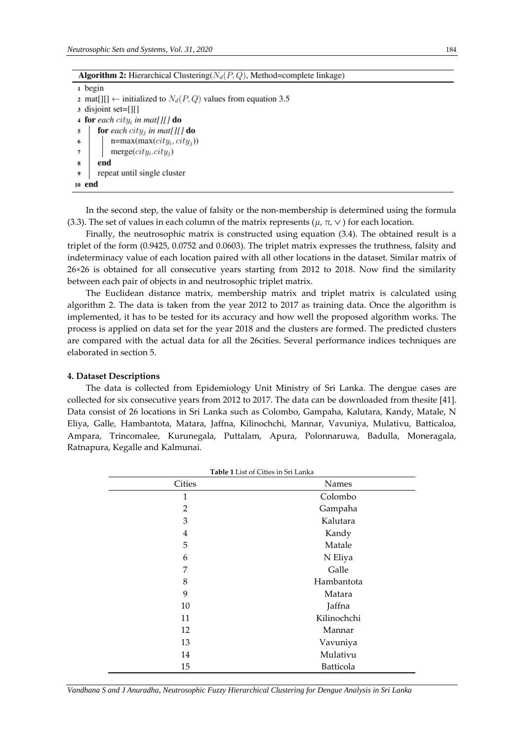| <b>Algorithm 2:</b> Hierarchical Clustering( $N_d(P,Q)$ ), Method=complete linkage) |
|-------------------------------------------------------------------------------------|
| 1 begin                                                                             |
| 2 mat[][] $\leftarrow$ initialized to $N_d(P,Q)$ values from equation 3.5           |
| 3 disjoint set=[1[]                                                                 |
| 4 for each city <sub>i</sub> in mat[][] do                                          |
| for each city <sub>i</sub> in mat[][] do<br>5                                       |
| $n = max(max(city_i, city_j))$<br>6                                                 |
| 7<br>$merge(city_i.city_i)$                                                         |
| 8<br>end                                                                            |
| repeat until single cluster<br>9                                                    |
| 10 end                                                                              |
|                                                                                     |

In the second step, the value of falsity or the non-membership is determined using the formula (3.3). The set of values in each column of the matrix represents ( $\mu$ ,  $\pi$ ,  $\vee$  ) for each location.

Finally, the neutrosophic matrix is constructed using equation (3.4). The obtained result is a triplet of the form (0.9425, 0.0752 and 0.0603). The triplet matrix expresses the truthness, falsity and indeterminacy value of each location paired with all other locations in the dataset. Similar matrix of 26*×*26 is obtained for all consecutive years starting from 2012 to 2018. Now find the similarity between each pair of objects in and neutrosophic triplet matrix.

The Euclidean distance matrix, membership matrix and triplet matrix is calculated using algorithm 2. The data is taken from the year 2012 to 2017 as training data. Once the algorithm is implemented, it has to be tested for its accuracy and how well the proposed algorithm works. The process is applied on data set for the year 2018 and the clusters are formed. The predicted clusters are compared with the actual data for all the 26cities. Several performance indices techniques are elaborated in section 5.

#### **4. Dataset Descriptions**

The data is collected from Epidemiology Unit Ministry of Sri Lanka. The dengue cases are collected for six consecutive years from 2012 to 2017. The data can be downloaded from thesite [41]. Data consist of 26 locations in Sri Lanka such as Colombo, Gampaha, Kalutara, Kandy, Matale, N Eliya, Galle, Hambantota, Matara, Jaffna, Kilinochchi, Mannar, Vavuniya, Mulativu, Batticaloa, Ampara, Trincomalee, Kurunegala, Puttalam, Apura, Polonnaruwa, Badulla, Moneragala, Ratnapura, Kegalle and Kalmunai.

| <b>Cities</b>  | Names       |
|----------------|-------------|
| 1              | Colombo     |
| $\overline{2}$ | Gampaha     |
| 3              | Kalutara    |
| $\overline{4}$ | Kandy       |
| 5              | Matale      |
| 6              | N Eliya     |
| 7              | Galle       |
| 8              | Hambantota  |
| 9              | Matara      |
| 10             | Jaffna      |
| 11             | Kilinochchi |
| 12             | Mannar      |
| 13             | Vavuniya    |
| 14             | Mulativu    |
| 15             | Batticola   |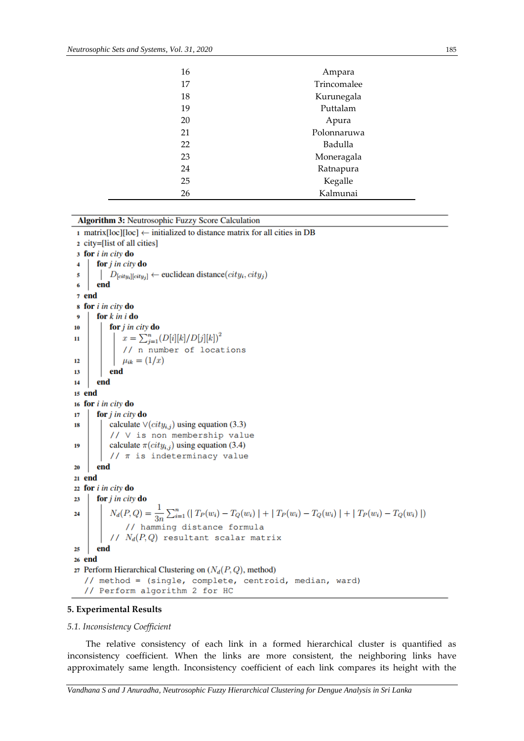| 16 | Ampara      |
|----|-------------|
| 17 | Trincomalee |
| 18 | Kurunegala  |
| 19 | Puttalam    |
| 20 | Apura       |
| 21 | Polonnaruwa |
| 22 | Badulla     |
| 23 | Moneragala  |
| 24 | Ratnapura   |
| 25 | Kegalle     |
| 26 | Kalmunai    |

**Algorithm 3: Neutrosophic Fuzzy Score Calculation** 

1 matrix [loc]  $\leftarrow$  initialized to distance matrix for all cities in DB 2 city=[list of all cities] 3 for i in city do for  $j$  in city do  $\overline{4}$  $\mid D_{[city_i][city_j]} \leftarrow$  euclidean distance $(city_i, city_j)$  $\overline{\mathbf{5}}$ end 6 7 end s for i in city do  $\ddot{\mathbf{Q}}$ for  $k$  in  $i$  do for *i* in city do  $10$  $x = \sum_{j=1}^{n} (D[i][k]/D[j][k])^2$  $\overline{11}$ // n number of locations  $\mu_{ik} = (1/x)$  $12$ end  $13$  $14$ end  $15$  end 16 for *i in city* do 17 for j in city do 18 calculate  $\vee(city_{i,j})$  using equation (3.3) // V is non membership value calculate  $\pi(city_{i,j})$  using equation (3.4) 19 //  $\pi$  is indeterminacy value end 20 21 end 22 for i in city do for  $j$  in city do  $23$  $N_d(P,Q) = \frac{1}{3n} \sum_{i=1}^n \left( | T_P(w_i) - T_Q(w_i) | + | T_P(w_i) - T_Q(w_i) | + | T_P(w_i) - T_Q(w_i) | \right)$ 24 // hamming distance formula //  $N_d(P,Q)$  resultant scalar matrix end 25 26 end 27 Perform Hierarchical Clustering on  $(N_d(P,Q))$ , method) // method = (single, complete, centroid, median, ward) // Perform algorithm 2 for HC

## **5. Experimental Results**

#### *5.1. Inconsistency Coefficient*

The relative consistency of each link in a formed hierarchical cluster is quantified as inconsistency coefficient. When the links are more consistent, the neighboring links have approximately same length. Inconsistency coefficient of each link compares its height with the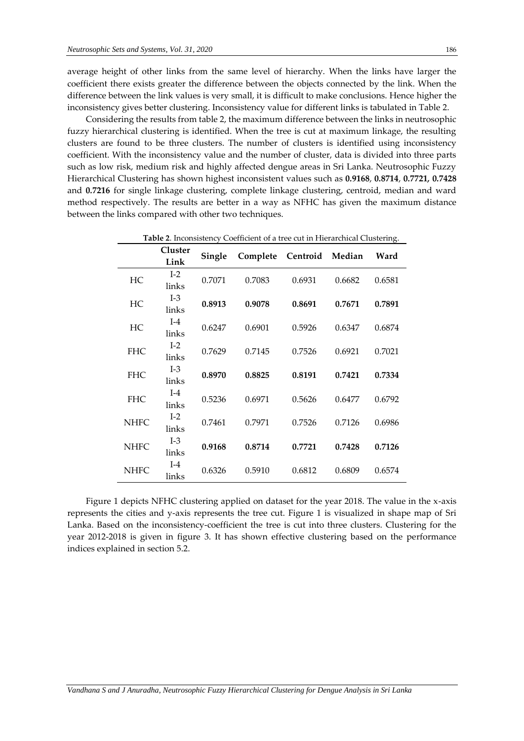average height of other links from the same level of hierarchy. When the links have larger the coefficient there exists greater the difference between the objects connected by the link. When the difference between the link values is very small, it is difficult to make conclusions. Hence higher the inconsistency gives better clustering. Inconsistency value for different links is tabulated in Table 2.

Considering the results from table 2, the maximum difference between the links in neutrosophic fuzzy hierarchical clustering is identified. When the tree is cut at maximum linkage, the resulting clusters are found to be three clusters. The number of clusters is identified using inconsistency coefficient. With the inconsistency value and the number of cluster, data is divided into three parts such as low risk, medium risk and highly affected dengue areas in Sri Lanka. Neutrosophic Fuzzy Hierarchical Clustering has shown highest inconsistent values such as **0***.***9168**, **0***.***8714**, **0***.***7721***,* **0***.***7428**  and **0***.***7216** for single linkage clustering, complete linkage clustering, centroid, median and ward method respectively. The results are better in a way as NFHC has given the maximum distance between the links compared with other two techniques.

|             | <b>Cluster</b><br>Link | Single | Complete Centroid Median Ward |        |        |        |
|-------------|------------------------|--------|-------------------------------|--------|--------|--------|
| HC          | $I-2$<br>links         | 0.7071 | 0.7083                        | 0.6931 | 0.6682 | 0.6581 |
| HC          | $I-3$<br>links         | 0.8913 | 0.9078                        | 0.8691 | 0.7671 | 0.7891 |
| HC          | $I-4$<br>links         | 0.6247 | 0.6901                        | 0.5926 | 0.6347 | 0.6874 |
| <b>FHC</b>  | $I-2$<br>links         | 0.7629 | 0.7145                        | 0.7526 | 0.6921 | 0.7021 |
| <b>FHC</b>  | $I-3$<br>links         | 0.8970 | 0.8825                        | 0.8191 | 0.7421 | 0.7334 |
| <b>FHC</b>  | $I-4$<br>links         | 0.5236 | 0.6971                        | 0.5626 | 0.6477 | 0.6792 |
| <b>NHFC</b> | $I-2$<br>links         | 0.7461 | 0.7971                        | 0.7526 | 0.7126 | 0.6986 |
| <b>NHFC</b> | $I-3$<br>links         | 0.9168 | 0.8714                        | 0.7721 | 0.7428 | 0.7126 |
| <b>NHFC</b> | $I-4$<br>links         | 0.6326 | 0.5910                        | 0.6812 | 0.6809 | 0.6574 |

**Table 2**. Inconsistency Coefficient of a tree cut in Hierarchical Clustering.

Figure 1 depicts NFHC clustering applied on dataset for the year 2018. The value in the x-axis represents the cities and y-axis represents the tree cut. Figure 1 is visualized in shape map of Sri Lanka. Based on the inconsistency-coefficient the tree is cut into three clusters. Clustering for the year 2012-2018 is given in figure 3. It has shown effective clustering based on the performance indices explained in section 5.2.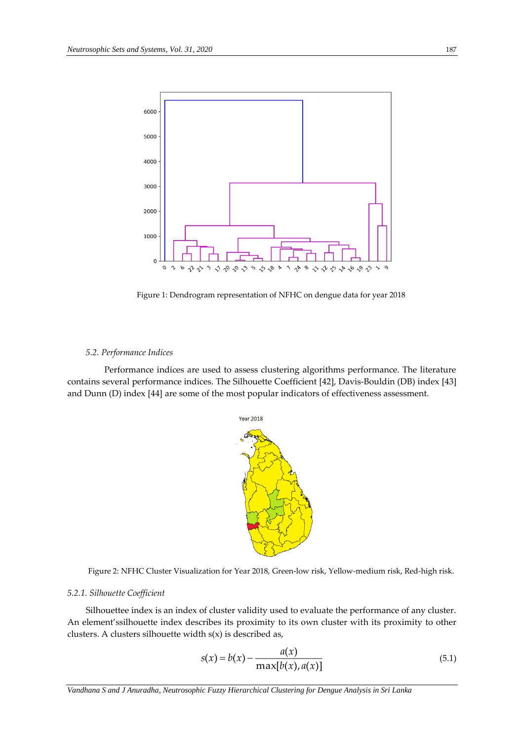

Figure 1: Dendrogram representation of NFHC on dengue data for year 2018

### *5.2. Performance Indices*

Performance indices are used to assess clustering algorithms performance. The literature contains several performance indices. The Silhouette Coefficient [42], Davis-Bouldin (DB) index [43] and Dunn (D) index [44] are some of the most popular indicators of effectiveness assessment.



Figure 2: NFHC Cluster Visualization for Year 2018, Green-low risk, Yellow-medium risk, Red-high risk.

# *5.2.1. Silhouette Coefficient*

Silhouettee index is an index of cluster validity used to evaluate the performance of any cluster. An element'ssilhouette index describes its proximity to its own cluster with its proximity to other clusters. A clusters silhouette width s(x) is described as,

$$
s(x) = b(x) - \frac{a(x)}{\max[b(x), a(x)]}
$$
 (5.1)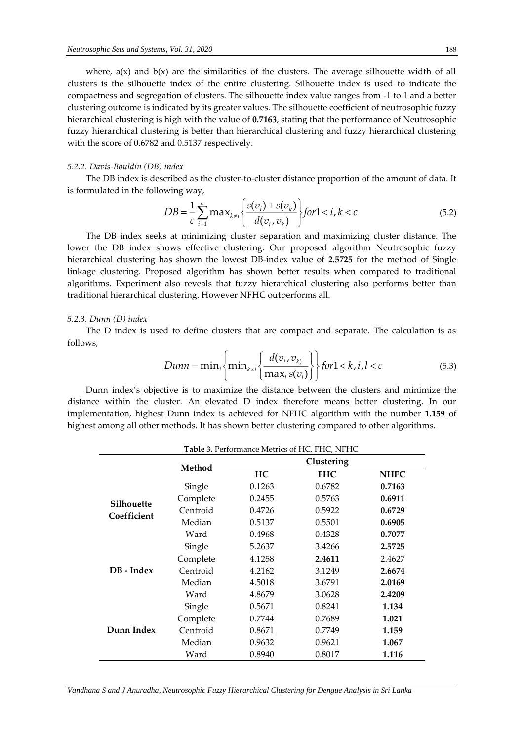where,  $a(x)$  and  $b(x)$  are the similarities of the clusters. The average silhouette width of all clusters is the silhouette index of the entire clustering. Silhouette index is used to indicate the compactness and segregation of clusters. The silhouette index value ranges from -1 to 1 and a better clustering outcome is indicated by its greater values. The silhouette coefficient of neutrosophic fuzzy hierarchical clustering is high with the value of **0***.***7163**, stating that the performance of Neutrosophic fuzzy hierarchical clustering is better than hierarchical clustering and fuzzy hierarchical clustering with the score of 0.6782 and 0.5137 respectively.

#### *5.2.2. Davis-Bouldin (DB) index*

The DB index is described as the cluster-to-cluster distance proportion of the amount of data. It is formulated in the following way,

$$
DB = \frac{1}{c} \sum_{i=1}^{c} \max_{k \neq i} \left\{ \frac{s(v_i) + s(v_k)}{d(v_i, v_k)} \right\} \text{ for } 1 < i, k < c \tag{5.2}
$$

The DB index seeks at minimizing cluster separation and maximizing cluster distance. The lower the DB index shows effective clustering. Our proposed algorithm Neutrosophic fuzzy hierarchical clustering has shown the lowest DB-index value of **2***.***5725** for the method of Single linkage clustering. Proposed algorithm has shown better results when compared to traditional algorithms. Experiment also reveals that fuzzy hierarchical clustering also performs better than traditional hierarchical clustering. However NFHC outperforms all.

#### *5.2.3. Dunn (D) index*

The D index is used to define clusters that are compact and separate. The calculation is as follows,

$$
Dunn = \min_{i} \left\{ \min_{k \neq i} \left\{ \frac{d(v_i, v_k)}{\max_{i} s(v_i)} \right\} \right\} \text{ for } 1 < k, i, l < c \tag{5.3}
$$

Dunn index's objective is to maximize the distance between the clusters and minimize the distance within the cluster. An elevated D index therefore means better clustering. In our implementation, highest Dunn index is achieved for NFHC algorithm with the number **1***.***159** of highest among all other methods. It has shown better clustering compared to other algorithms.

| Table 3. Performance Metrics of HC, FHC, NFHC |          |        |            |             |  |  |  |  |  |  |
|-----------------------------------------------|----------|--------|------------|-------------|--|--|--|--|--|--|
|                                               | Method   |        | Clustering |             |  |  |  |  |  |  |
|                                               |          | HC     | <b>FHC</b> | <b>NHFC</b> |  |  |  |  |  |  |
|                                               | Single   | 0.1263 | 0.6782     | 0.7163      |  |  |  |  |  |  |
| Silhouette                                    | Complete | 0.2455 | 0.5763     | 0.6911      |  |  |  |  |  |  |
| Coefficient                                   | Centroid | 0.4726 | 0.5922     | 0.6729      |  |  |  |  |  |  |
|                                               | Median   | 0.5137 | 0.5501     | 0.6905      |  |  |  |  |  |  |
|                                               | Ward     | 0.4968 | 0.4328     | 0.7077      |  |  |  |  |  |  |
|                                               | Single   | 5.2637 | 3.4266     | 2.5725      |  |  |  |  |  |  |
|                                               | Complete | 4.1258 | 2.4611     | 2.4627      |  |  |  |  |  |  |
| DB - Index                                    | Centroid | 4.2162 | 3.1249     | 2.6674      |  |  |  |  |  |  |
|                                               | Median   | 4.5018 | 3.6791     | 2.0169      |  |  |  |  |  |  |
|                                               | Ward     | 4.8679 | 3.0628     | 2.4209      |  |  |  |  |  |  |
|                                               | Single   | 0.5671 | 0.8241     | 1.134       |  |  |  |  |  |  |
|                                               | Complete | 0.7744 | 0.7689     | 1.021       |  |  |  |  |  |  |
| Dunn Index                                    | Centroid | 0.8671 | 0.7749     | 1.159       |  |  |  |  |  |  |
|                                               | Median   | 0.9632 | 0.9621     | 1.067       |  |  |  |  |  |  |
|                                               | Ward     | 0.8940 | 0.8017     | 1.116       |  |  |  |  |  |  |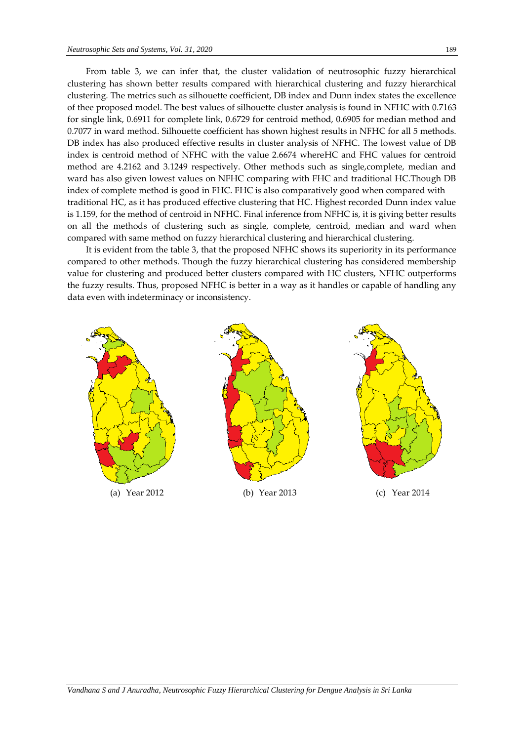From table 3, we can infer that, the cluster validation of neutrosophic fuzzy hierarchical clustering has shown better results compared with hierarchical clustering and fuzzy hierarchical clustering. The metrics such as silhouette coefficient, DB index and Dunn index states the excellence of thee proposed model. The best values of silhouette cluster analysis is found in NFHC with 0.7163 for single link, 0.6911 for complete link, 0.6729 for centroid method, 0.6905 for median method and 0.7077 in ward method. Silhouette coefficient has shown highest results in NFHC for all 5 methods. DB index has also produced effective results in cluster analysis of NFHC. The lowest value of DB index is centroid method of NFHC with the value 2.6674 whereHC and FHC values for centroid method are 4.2162 and 3.1249 respectively. Other methods such as single,complete, median and ward has also given lowest values on NFHC comparing with FHC and traditional HC.Though DB index of complete method is good in FHC. FHC is also comparatively good when compared with traditional HC, as it has produced effective clustering that HC. Highest recorded Dunn index value is 1.159, for the method of centroid in NFHC. Final inference from NFHC is, it is giving better results on all the methods of clustering such as single, complete, centroid, median and ward when compared with same method on fuzzy hierarchical clustering and hierarchical clustering.

It is evident from the table 3, that the proposed NFHC shows its superiority in its performance compared to other methods. Though the fuzzy hierarchical clustering has considered membership value for clustering and produced better clusters compared with HC clusters, NFHC outperforms the fuzzy results. Thus, proposed NFHC is better in a way as it handles or capable of handling any data even with indeterminacy or inconsistency.

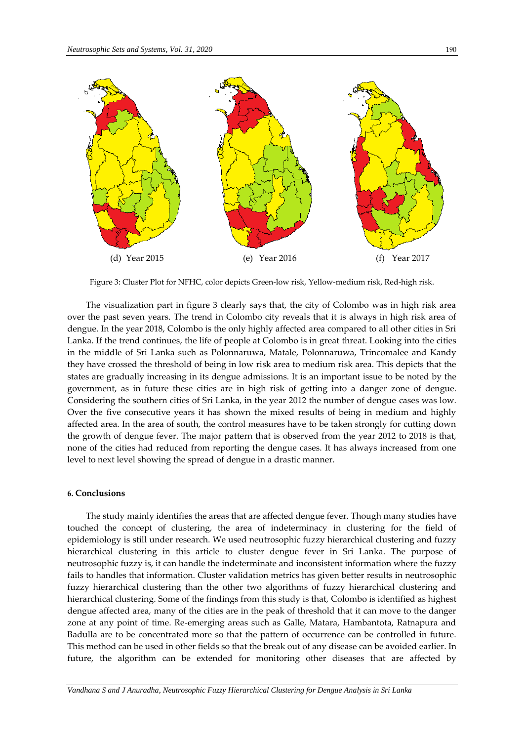

Figure 3: Cluster Plot for NFHC, color depicts Green-low risk, Yellow-medium risk, Red-high risk.

The visualization part in figure 3 clearly says that, the city of Colombo was in high risk area over the past seven years. The trend in Colombo city reveals that it is always in high risk area of dengue. In the year 2018, Colombo is the only highly affected area compared to all other cities in Sri Lanka. If the trend continues, the life of people at Colombo is in great threat. Looking into the cities in the middle of Sri Lanka such as Polonnaruwa, Matale, Polonnaruwa, Trincomalee and Kandy they have crossed the threshold of being in low risk area to medium risk area. This depicts that the states are gradually increasing in its dengue admissions. It is an important issue to be noted by the government, as in future these cities are in high risk of getting into a danger zone of dengue. Considering the southern cities of Sri Lanka, in the year 2012 the number of dengue cases was low. Over the five consecutive years it has shown the mixed results of being in medium and highly affected area. In the area of south, the control measures have to be taken strongly for cutting down the growth of dengue fever. The major pattern that is observed from the year 2012 to 2018 is that, none of the cities had reduced from reporting the dengue cases. It has always increased from one level to next level showing the spread of dengue in a drastic manner.

#### **6. Conclusions**

The study mainly identifies the areas that are affected dengue fever. Though many studies have touched the concept of clustering, the area of indeterminacy in clustering for the field of epidemiology is still under research. We used neutrosophic fuzzy hierarchical clustering and fuzzy hierarchical clustering in this article to cluster dengue fever in Sri Lanka. The purpose of neutrosophic fuzzy is, it can handle the indeterminate and inconsistent information where the fuzzy fails to handles that information. Cluster validation metrics has given better results in neutrosophic fuzzy hierarchical clustering than the other two algorithms of fuzzy hierarchical clustering and hierarchical clustering. Some of the findings from this study is that, Colombo is identified as highest dengue affected area, many of the cities are in the peak of threshold that it can move to the danger zone at any point of time. Re-emerging areas such as Galle, Matara, Hambantota, Ratnapura and Badulla are to be concentrated more so that the pattern of occurrence can be controlled in future. This method can be used in other fields so that the break out of any disease can be avoided earlier. In future, the algorithm can be extended for monitoring other diseases that are affected by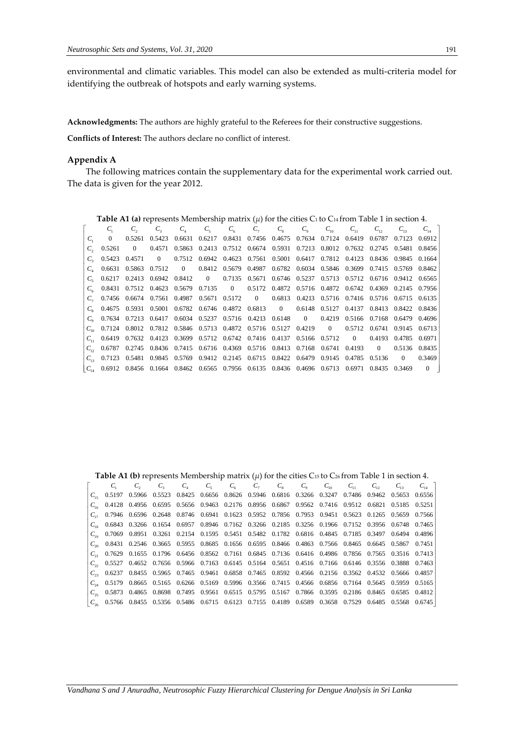environmental and climatic variables. This model can also be extended as multi-criteria model for identifying the outbreak of hotspots and early warning systems.

**Acknowledgments:** The authors are highly grateful to the Referees for their constructive suggestions.

**Conflicts of Interest:** The authors declare no conflict of interest.

# **Appendix A**

The following matrices contain the supplementary data for the experimental work carried out. The data is given for the year 2012.

|          | <b>Table A1 (a)</b> represents Membership matrix ( $\mu$ ) for the cities C <sub>1</sub> to C <sub>14</sub> from Table 1 in section 4. |                |                                                                                              |          |                                                                              |                                                                       |  |                                       |             |          |          |                                    |                |                |
|----------|----------------------------------------------------------------------------------------------------------------------------------------|----------------|----------------------------------------------------------------------------------------------|----------|------------------------------------------------------------------------------|-----------------------------------------------------------------------|--|---------------------------------------|-------------|----------|----------|------------------------------------|----------------|----------------|
|          |                                                                                                                                        |                |                                                                                              | $C_{1}$  | $C_{\epsilon}$                                                               |                                                                       |  | $C_{\epsilon}$ $C_{\tau}$ $C_{\rm s}$ | $C_{\rm o}$ | $C_{10}$ | $C_{11}$ | $C_{12}$                           |                | $C_{14}$       |
|          | $\Omega$                                                                                                                               | 0.5261         | 0.5423                                                                                       |          | 0.6631 0.6217 0.8431 0.7456 0.4675 0.7634 0.7124 0.6419 0.6787 0.7123 0.6912 |                                                                       |  |                                       |             |          |          |                                    |                |                |
|          | 0.5261                                                                                                                                 | $\overline{0}$ | 0.4571                                                                                       |          | 0.5863 0.2413 0.7512 0.6674 0.5931 0.7213 0.8012 0.7632 0.2745 0.5481 0.8456 |                                                                       |  |                                       |             |          |          |                                    |                |                |
|          |                                                                                                                                        | 0.5423 0.4571  | $\overline{0}$                                                                               |          | 0.7512 0.6942 0.4623 0.7561 0.5001 0.6417 0.7812 0.4123 0.8436 0.9845 0.1664 |                                                                       |  |                                       |             |          |          |                                    |                |                |
|          | 0.6631                                                                                                                                 |                | 0.5863 0.7512                                                                                | $\sim$ 0 |                                                                              | 0.8412 0.5679 0.4987 0.6782 0.6034 0.5846 0.3699 0.7415 0.5769 0.8462 |  |                                       |             |          |          |                                    |                |                |
|          |                                                                                                                                        |                | 0.6217 0.2413 0.6942 0.8412                                                                  |          | 0 0.7135 0.5671 0.6746 0.5237 0.5713 0.5712 0.6716 0.9412 0.6565             |                                                                       |  |                                       |             |          |          |                                    |                |                |
|          |                                                                                                                                        |                | 0.8431 0.7512 0.4623 0.5679 0.7135 0 0.5172 0.4872 0.5716 0.4872 0.6742 0.4369 0.2145 0.7956 |          |                                                                              |                                                                       |  |                                       |             |          |          |                                    |                |                |
|          |                                                                                                                                        |                | 0.7456 0.6674 0.7561 0.4987 0.5671 0.5172 0 0.6813 0.4213 0.5716 0.7416 0.5716 0.6715 0.6135 |          |                                                                              |                                                                       |  |                                       |             |          |          |                                    |                |                |
|          |                                                                                                                                        |                | 0.4675 0.5931 0.5001 0.6782 0.6746 0.4872 0.6813 0 0.6148 0.5127 0.4137 0.8413 0.8422 0.8436 |          |                                                                              |                                                                       |  |                                       |             |          |          |                                    |                |                |
|          |                                                                                                                                        |                | 0.7634 0.7213 0.6417 0.6034 0.5237 0.5716 0.4213 0.6148 0                                    |          |                                                                              |                                                                       |  |                                       |             |          |          | 0.4219 0.5166 0.7168 0.6479 0.4696 |                |                |
| $C_{10}$ |                                                                                                                                        |                | 0.7124 0.8012 0.7812 0.5846 0.5713 0.4872 0.5716 0.5127 0.4219 0                             |          |                                                                              |                                                                       |  |                                       |             |          |          | 0.5712 0.6741 0.9145 0.6713        |                |                |
|          |                                                                                                                                        |                | $0.6419$ $0.7632$ $0.4123$ $0.3699$ $0.5712$ $0.6742$ $0.7416$ $0.4137$ $0.5166$ $0.5712$ 0  |          |                                                                              |                                                                       |  |                                       |             |          |          | 0.4193                             | 0.4785 0.6971  |                |
|          |                                                                                                                                        | 0.6787 0.2745  |                                                                                              |          | 0.8436 0.7415 0.6716 0.4369 0.5716 0.8413 0.7168 0.6741 0.4193               |                                                                       |  |                                       |             |          |          | $\sim$ 0                           | 0.5136 0.8435  |                |
|          |                                                                                                                                        | 0.7123 0.5481  |                                                                                              |          | 0.9845 0.5769 0.9412 0.2145 0.6715 0.8422 0.6479 0.9145 0.4785 0.5136        |                                                                       |  |                                       |             |          |          |                                    | $\overline{0}$ | 0.3469         |
|          | $C_{14}$ 0.6912                                                                                                                        |                | 0.8456 0.1664 0.8462 0.6565 0.7956 0.6135 0.8436 0.4696 0.6713                               |          |                                                                              |                                                                       |  |                                       |             |          | 0.6971   | 0.8435                             | 0.3469         | $\overline{0}$ |

|  |  |  |  |  |  | $C_4$ $C_5$ $C_6$ $C_7$ $C_8$ $C_9$ $C_{10}$ $C_{11}$ $C_{12}$ $C_{13}$ $C_{14}$                               |  |
|--|--|--|--|--|--|----------------------------------------------------------------------------------------------------------------|--|
|  |  |  |  |  |  | $C_{15}$ 0.5197 0.5966 0.5523 0.8425 0.6656 0.8626 0.5946 0.6816 0.3266 0.3247 0.7486 0.9462 0.5653 0.6556     |  |
|  |  |  |  |  |  | $C_{16}$ 0.4128 0.4956 0.6595 0.5656 0.9463 0.2176 0.8956 0.6867 0.9562 0.7416 0.9512 0.6821 0.5185 0.5251     |  |
|  |  |  |  |  |  | $C_{17}$ 0.7946 0.6596 0.2648 0.8746 0.6941 0.1623 0.5952 0.7856 0.7953 0.9451 0.5623 0.1265 0.5659 0.7566     |  |
|  |  |  |  |  |  | $C_{18}$ 0.6843 0.3266 0.1654 0.6957 0.8946 0.7162 0.3266 0.2185 0.3256 0.1966 0.7152 0.3956 0.6748 0.7465     |  |
|  |  |  |  |  |  | $C_{10}$ 0.7069 0.8951 0.3261 0.2154 0.1595 0.5451 0.5482 0.1782 0.6816 0.4845 0.7185 0.3497 0.6494 0.4896     |  |
|  |  |  |  |  |  | $C_{20}$ 0.8431 0.2546 0.3665 0.5955 0.8685 0.1656 0.6595 0.8466 0.4863 0.7566 0.8465 0.6645 0.5867 0.7451     |  |
|  |  |  |  |  |  | $C_{21}$ 0.7629 0.1655 0.1796 0.6456 0.8562 0.7161 0.6845 0.7136 0.6416 0.4986 0.7856 0.7565 0.3516 0.7413     |  |
|  |  |  |  |  |  | $C_{22}$ 0.5527 0.4652 0.7656 0.5966 0.7163 0.6145 0.5164 0.5651 0.4516 0.7166 0.6146 0.3556 0.3888 0.7463     |  |
|  |  |  |  |  |  | $C_{23}$ 0.6237 0.8455 0.5965 0.7465 0.9461 0.6858 0.7465 0.8592 0.4566 0.2156 0.3562 0.4532 0.5666 0.4857     |  |
|  |  |  |  |  |  | $C_{34}$ 0.5179 0.8665 0.5165 0.6266 0.5169 0.5996 0.3566 0.7415 0.4566 0.6856 0.7164 0.5645 0.5959 0.5165     |  |
|  |  |  |  |  |  | $C_{15}$ 0.5873 0.4865 0.8698 0.7495 0.9561 0.6515 0.5795 0.5167 0.7866 0.3595 0.2186 0.8465 0.6585 0.4812     |  |
|  |  |  |  |  |  | $C_{\alpha}$ 0.5766 0.8455 0.5356 0.5486 0.6715 0.6123 0.7155 0.4189 0.6589 0.3658 0.7529 0.6485 0.5568 0.6745 |  |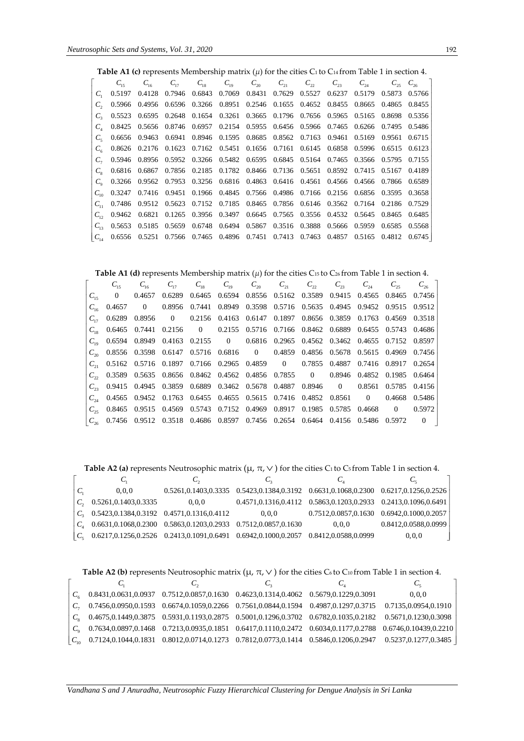**Table A1 (c)** represents Membership matrix  $(\mu)$  for the cities C<sub>1</sub> to C<sub>14</sub> from Table 1 in section 4.

|                | $C_{16}$ |  | $C_{17}$ $C_{18}$ $C_{19}$ $C_{20}$ $C_{21}$ $C_{22}$ $C_{23}$ $C_{24}$ $C_{25}$ $C_{26}$            |  |  |  |                                                                                              |
|----------------|----------|--|------------------------------------------------------------------------------------------------------|--|--|--|----------------------------------------------------------------------------------------------|
|                |          |  | $C_1$ 0.5197  0.4128  0.7946  0.6843  0.7069  0.8431  0.7629  0.5527  0.6237  0.5179  0.5873  0.5766 |  |  |  |                                                                                              |
|                |          |  | 0.5966 0.4956 0.6596 0.3266 0.8951 0.2546 0.1655 0.4652 0.8455 0.8665 0.4865 0.8455                  |  |  |  |                                                                                              |
| $C_{\rm o}$    |          |  | 0.5523 0.6595 0.2648 0.1654 0.3261 0.3665 0.1796 0.7656 0.5965 0.5165 0.8698 0.5356                  |  |  |  |                                                                                              |
|                |          |  | 0.8425 0.5656 0.8746 0.6957 0.2154 0.5955 0.6456 0.5966 0.7465 0.6266 0.7495 0.5486                  |  |  |  |                                                                                              |
| $C_{\epsilon}$ |          |  | 0.6656 0.9463 0.6941 0.8946 0.1595 0.8685 0.8562 0.7163 0.9461 0.5169 0.9561 0.6715                  |  |  |  |                                                                                              |
|                |          |  | 0.8626 0.2176 0.1623 0.7162 0.5451 0.1656 0.7161 0.6145 0.6858 0.5996 0.6515 0.6123                  |  |  |  |                                                                                              |
|                |          |  | 0.5946 0.8956 0.5952 0.3266 0.5482 0.6595 0.6845 0.5164 0.7465 0.3566 0.5795 0.7155                  |  |  |  |                                                                                              |
| $C_{\circ}$    |          |  | 0.6816 0.6867 0.7856 0.2185 0.1782 0.8466 0.7136 0.5651 0.8592 0.7415 0.5167 0.4189                  |  |  |  |                                                                                              |
| $C_{\alpha}$   |          |  | 0.3266 0.9562 0.7953 0.3256 0.6816 0.4863 0.6416 0.4561 0.4566 0.4566 0.7866 0.6589                  |  |  |  |                                                                                              |
|                |          |  | $C_{10}$ 0.3247 0.7416 0.9451 0.1966 0.4845 0.7566 0.4986 0.7166 0.2156 0.6856 0.3595 0.3658         |  |  |  |                                                                                              |
|                |          |  | 0.7486 0.9512 0.5623 0.7152 0.7185 0.8465 0.7856 0.6146 0.3562 0.7164 0.2186 0.7529                  |  |  |  |                                                                                              |
|                |          |  | 0.9462 0.6821 0.1265 0.3956 0.3497 0.6645 0.7565 0.3556 0.4532 0.5645 0.8465 0.6485                  |  |  |  |                                                                                              |
|                |          |  | 0.5653 0.5185 0.5659 0.6748 0.6494 0.5867 0.3516 0.3888 0.5666 0.5959 0.6585 0.5568                  |  |  |  |                                                                                              |
|                |          |  |                                                                                                      |  |  |  | $C_{14}$ 0.6556 0.5251 0.7566 0.7465 0.4896 0.7451 0.7413 0.7463 0.4857 0.5165 0.4812 0.6745 |

**Table A1 (d)** represents Membership matrix  $(\mu)$  for the cities C<sub>15</sub> to C<sub>26</sub> from Table 1 in section 4.

|                 | $C_{16}$ |  |  | $C_{17}$ $C_{18}$ $C_{19}$ $C_{20}$ $C_{21}$ $C_{22}$ $C_{23}$ $C_{24}$ $C_{25}$ $C_{26}$     |  |  |  |
|-----------------|----------|--|--|-----------------------------------------------------------------------------------------------|--|--|--|
|                 |          |  |  | $C_{15}$ 0 0.4657 0.6289 0.6465 0.6594 0.8556 0.5162 0.3589 0.9415 0.4565 0.8465 0.7456       |  |  |  |
| $C_{1\epsilon}$ |          |  |  | 0.4657 0 0.8956 0.7441 0.8949 0.3598 0.5716 0.5635 0.4945 0.9452 0.9515 0.9512                |  |  |  |
|                 |          |  |  | $C_{17}$ 0.6289 0.8956 0 0.2156 0.4163 0.6147 0.1897 0.8656 0.3859 0.1763 0.4569 0.3518       |  |  |  |
|                 |          |  |  | $C_{18}$ 0.6465 0.7441 0.2156 0 0.2155 0.5716 0.7166 0.8462 0.6889 0.6455 0.5743 0.4686       |  |  |  |
|                 |          |  |  | $C_{10}$ 0.6594 0.8949 0.4163 0.2155 0 0.6816 0.2965 0.4562 0.3462 0.4655 0.7152 0.8597       |  |  |  |
|                 |          |  |  | $C_{20}$ 0.8556 0.3598 0.6147 0.5716 0.6816 0 0.4859 0.4856 0.5678 0.5615 0.4969 0.7456       |  |  |  |
|                 |          |  |  | $C_{21}$ 0.5162 0.5716 0.1897 0.7166 0.2965 0.4859 0 0.7855 0.4887 0.7416 0.8917 0.2654       |  |  |  |
|                 |          |  |  | $C_{22}$ 0.3589 0.5635 0.8656 0.8462 0.4562 0.4856 0.7855 0 0.8946 0.4852 0.1985 0.6464       |  |  |  |
|                 |          |  |  | $C_{23}$ 0.9415 0.4945 0.3859 0.6889 0.3462 0.5678 0.4887 0.8946 0 0.8561 0.5785 0.4156       |  |  |  |
|                 |          |  |  | $C_{34}$ 0.4565 0.9452 0.1763 0.6455 0.4655 0.5615 0.7416 0.4852 0.8561 0 0.4668 0.5486       |  |  |  |
|                 |          |  |  | $C_{25}$ 0.8465 0.9515 0.4569 0.5743 0.7152 0.4969 0.8917 0.1985 0.5785 0.4668 0 0.5972       |  |  |  |
|                 |          |  |  | $C_{\gamma_6}$ 0.7456 0.9512 0.3518 0.4686 0.8597 0.7456 0.2654 0.6464 0.4156 0.5486 0.5972 0 |  |  |  |

**Table A2 (a)** represents Neutrosophic matrix  $(\mu, \pi, \vee)$  for the cities C1 to C5 from Table 1 in section 4.

|                          | 0.0.0                                                            |                                                                                     | 0.5261,0.1403,0.3335 0.5423,0.1384,0.3192 0.6631,0.1068,0.2300 0.6217,0.1256,0.2526 |                                                                            |                                                   |
|--------------------------|------------------------------------------------------------------|-------------------------------------------------------------------------------------|-------------------------------------------------------------------------------------|----------------------------------------------------------------------------|---------------------------------------------------|
| $C_{\rm A}$              | 0.5261,0.1403,0.3335                                             | 0.0.0                                                                               |                                                                                     | $0.4571, 0.1316, 0.4112$ $0.5863, 0.1203, 0.2933$ $0.2413, 0.1096, 0.6491$ |                                                   |
|                          | $C_2$ 0.5423,0.1384,0.3192 0.4571,0.1316,0.4112                  |                                                                                     | 0.0.0                                                                               |                                                                            | $0.7512, 0.0857, 0.1630$ $0.6942, 0.1000, 0.2057$ |
| $C_{\cdot}$              | 0.6631,0.1068,0.2300  0.5863,0.1203,0.2933  0.7512,0.0857,0.1630 |                                                                                     |                                                                                     | 0.0.0                                                                      | 0.8412, 0.0588, 0.0999                            |
| $\mid C_{\epsilon} \mid$ |                                                                  | 0.6217,0.1256,0.2526 0.2413,0.1091,0.6491 0.6942,0.1000,0.2057 0.8412,0.0588,0.0999 |                                                                                     |                                                                            | 0, 0, 0                                           |

**Table A2 (b)** represents Neutrosophic matrix  $(\mu, \pi, \vee)$  for the cities C6 to C10 from Table 1 in section 4.

|  |                                                                                           |  | $C_{5}$                                                                                                            |
|--|-------------------------------------------------------------------------------------------|--|--------------------------------------------------------------------------------------------------------------------|
|  | $C_6$ 0.8431,0.0631,0.0937 0.7512,0.0857,0.1630 0.4623,0.1314,0.4062 0.5679,0.1229,0.3091 |  | 0.0.0                                                                                                              |
|  |                                                                                           |  | $C_7$ 0.7456,0.0950,0.1593 0.6674,0.1059,0.2266 0.7561,0.0844,0.1594 0.4987,0.1297,0.3715 0.7135,0.0954,0.1910     |
|  |                                                                                           |  | $C_8$ 0.4675,0.1449,0.3875 0.5931,0.1193,0.2875 0.5001,0.1296,0.3702 0.6782,0.1035,0.2182 0.5671,0.1230,0.3098     |
|  |                                                                                           |  | $C_9$ 0.7634,0.0897,0.1468 0.7213,0.0935,0.1851 0.6417,0.1110,0.2472 0.6034,0.1177,0.2788 0.6746,0.10439,0.2210    |
|  |                                                                                           |  | $ C_{10}$ 0.7124,0.1044,0.1831 0.8012,0.0714,0.1273 0.7812,0.0773,0.1414 0.5846,0.1206,0.2947 0.5237,0.1277,0.3485 |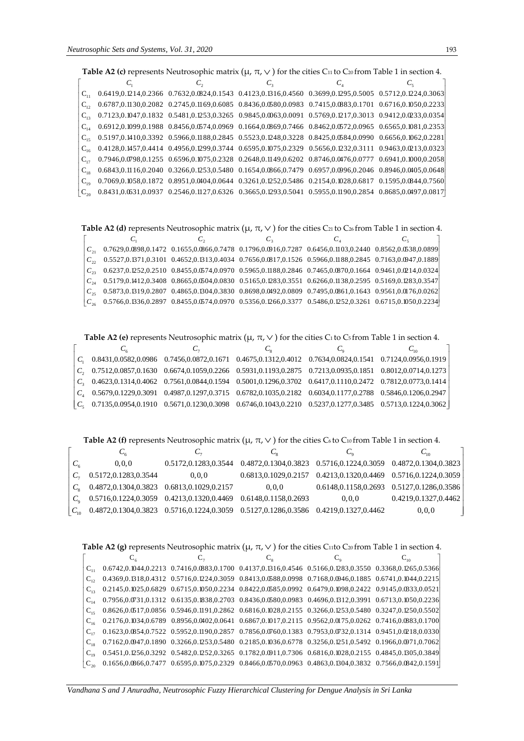|          | <b>Table A2 (c)</b> represents Neutrosophic matrix ( $\mu$ , $\pi$ , $\vee$ ) for the cities C <sub>11</sub> to C <sub>20</sub> from Table 1 in section 4. |                                                                                                                                              |         |  |  |  |  |  |  |
|----------|------------------------------------------------------------------------------------------------------------------------------------------------------------|----------------------------------------------------------------------------------------------------------------------------------------------|---------|--|--|--|--|--|--|
|          |                                                                                                                                                            |                                                                                                                                              | $C_{2}$ |  |  |  |  |  |  |
| $C_{11}$ |                                                                                                                                                            | 0.6419,0.1214,0.2366 0.7632,0.0824,0.1543 0.4123,0.1316,0.4560 0.3699,0.1295,0.5005 0.5712,0.1224,0.3063                                     |         |  |  |  |  |  |  |
| $C_{12}$ |                                                                                                                                                            | 0.6787,0.1130,0.2082 0.2745,0.1169,0.6085 0.8436,0.0580,0.0983 0.7415,0.0883,0.1701 0.6716,0.1050,0.2233                                     |         |  |  |  |  |  |  |
|          |                                                                                                                                                            | 0.7123,0.1047,0.1832 0.5481,0.1253,0.3265 0.9845,0.0063,0.0091 0.5769,0.1217,0.3013 0.9412,0.0233,0.0354                                     |         |  |  |  |  |  |  |
|          |                                                                                                                                                            | 0.6912,0.1099,0.1988 0.8456,0.0574,0.0969 0.1664,0.0869,0.7466 0.8462,0.0572,0.0965 0.6565,0.1081,0.2353                                     |         |  |  |  |  |  |  |
|          |                                                                                                                                                            | 0.5197,0.1410,0.3392 0.5966,0.1188,0.2845 0.5523,0.1248,0.3228 0.8425,0.0584,0.0990 0.6656,0.1062,0.2281                                     |         |  |  |  |  |  |  |
| $C_{16}$ |                                                                                                                                                            | 0.4128,0.1457,0.4414 0.4956,0.1299,0.3744 0.6595,0.1075,0.2329 0.5656,0.1232,0.3111 0.9463,0.0213,0.0323                                     |         |  |  |  |  |  |  |
|          |                                                                                                                                                            | $0.7946, 0.0798, 0.1255 \quad 0.6596, 0.1075, 0.2328 \quad 0.2648, 0.1149, 0.6202 \quad 0.8746, 0.0476, 0.0777 \quad 0.6941, 0.1000, 0.2058$ |         |  |  |  |  |  |  |
|          |                                                                                                                                                            | 0.6843,0.1116,0.2040 0.3266,0.1253,0.5480 0.1654,0.0866,0.7479 0.6957,0.0996,0.2046 0.8946,0.0405,0.0648                                     |         |  |  |  |  |  |  |
|          |                                                                                                                                                            | 0.7069,0.1058,0.1872 0.8951,0.0404,0.0644 0.3261,0.1252,0.5486 0.2154,0.1028,0.6817 0.1595,0.0844,0.7560                                     |         |  |  |  |  |  |  |
|          |                                                                                                                                                            | $0.8431, 0.0631, 0.0937 \quad 0.2546, 0.1127, 0.6326 \quad 0.3665, 0.1293, 0.5041 \quad 0.5955, 0.1190, 0.2854 \quad 0.8685, 0.0497, 0.0817$ |         |  |  |  |  |  |  |

**Table A2 (d)** represents Neutrosophic matrix  $(\mu, \pi, \vee)$  for the cities C21 to C26 from Table 1 in section 4.

| 0.7629,0.0898,0.1472 0.1655,0.0866,0.7478 0.1796,0.0916,0.7287 0.6456,0.1103,0.2440 0.8562,0.0538,0.0899          |                                                                                                          |  |
|-------------------------------------------------------------------------------------------------------------------|----------------------------------------------------------------------------------------------------------|--|
|                                                                                                                   | 0.5527,0.1371,0.3101 0.4652,0.1313,0.4034 0.7656,0.0817,0.1526 0.5966,0.1188,0.2845 0.7163,0.0947,0.1889 |  |
| 0.6237,0.1252,0.2510 0.8455,0.0574,0.0970 0.5965,0.1188,0.2846 0.7465,0.0870,0.1664 0.9461,0.0214,0.0324          |                                                                                                          |  |
| $C_{34}$ 0.5179,0.1412,0.3408 0.8665,0.0504,0.0830 0.5165,0.1283,0.3551 0.6266,0.1138,0.2595 0.5169,0.1283,0.3547 |                                                                                                          |  |
| 0.5873,0.1319,0.2807 0.4865,0.1304,0.3830 0.8698,0.0492,0.0809 0.7495,0.0861,0.1643 0.9561,0.0176,0.0262          |                                                                                                          |  |
| 0.5766,0.1336,0.2897 0.8455,0.0574,0.0970 0.5356,0.1266,0.3377 0.5486,0.1252,0.3261 0.6715,0.1050,0.2234          |                                                                                                          |  |

**Table A2 (e)** represents Neutrosophic matrix  $(\mu, \pi, \vee)$  for the cities C1 to C5 from Table 1 in section 4.

|  | $C_1$ 0.8431,0.0582,0.0986 0.7456,0.0872,0.1671 0.4675,0.1312,0.4012 0.7634,0.0824,0.1541 0.7124,0.0956,0.1919                                                   |  |  |
|--|------------------------------------------------------------------------------------------------------------------------------------------------------------------|--|--|
|  | $C_2$ 0.7512,0.0857,0.1630 0.6674,0.1059,0.2266 0.5931,0.1193,0.2875 0.7213,0.0935,0.1851 0.8012,0.0714,0.1273                                                   |  |  |
|  | $C_3$ 0.4623,0.1314,0.4062 0.7561,0.0844,0.1594 0.5001,0.1296,0.3702 0.6417,0.1110,0.2472 0.7812,0.0773,0.1414                                                   |  |  |
|  | $C_4$ 0.5679,0.1229,0.3091 0.4987,0.1297,0.3715 0.6782,0.1035,0.2182 0.6034,0.1177,0.2788 0.5846,0.1206,0.2947                                                   |  |  |
|  | $\begin{bmatrix} C_5 & 0.7135, 0.0954, 0.1910 & 0.5671, 0.1230, 0.3098 & 0.6746, 0.1043, 0.2210 & 0.5237, 0.1277, 0.3485 & 0.5713, 0.1224, 0.3062 \end{bmatrix}$ |  |  |

**Table A2 (f)** represents Neutrosophic matrix  $(\mu, \pi, \vee)$  for the cities C<sub>6</sub> to C<sub>10</sub> from Table 1 in section 4.

|                                                 | Ċ,                                                                   | C.                                                                                  |                                                                            | $C_{10}$                                          |
|-------------------------------------------------|----------------------------------------------------------------------|-------------------------------------------------------------------------------------|----------------------------------------------------------------------------|---------------------------------------------------|
| 0.0.0                                           |                                                                      | 0.5172,0.1283,0.3544 0.4872,0.1304,0.3823 0.5716,0.1224,0.3059 0.4872,0.1304,0.3823 |                                                                            |                                                   |
| 0.5172,0.1283,0.3544                            | 0.0.0                                                                |                                                                                     | $0.6813, 0.1029, 0.2157$ $0.4213, 0.1320, 0.4469$ $0.5716, 0.1224, 0.3059$ |                                                   |
| $C_8$ 0.4872,0.1304,0.3823 0.6813,0.1029,0.2157 |                                                                      | 0.0.0                                                                               |                                                                            | $0.6148, 0.1158, 0.2693$ $0.5127, 0.1286, 0.3586$ |
|                                                 | $C_0$ 0.5716,0.1224,0.3059 0.4213,0.1320,0.4469 0.6148,0.1158,0.2693 |                                                                                     | 0.0.0                                                                      | 0.4219, 0.1327, 0.4462                            |
|                                                 |                                                                      | 0.4872,0.1304,0.3823 0.5716,0.1224,0.3059 0.5127,0.1286,0.3586 0.4219,0.1327,0.4462 |                                                                            | 0, 0, 0                                           |

**Table A2 (g)** represents Neutrosophic matrix (µ, π, ) for the cities C11to C20 from Table 1 in section 4.

| $C_{\cdot}$ |  | 0.6742,0.1044,0.2213 0.7416,0.0883,0.1700 0.4137,0.1316,0.4546 0.5166,0.1283,0.3550 0.3368,0.1265,0.5366 |  |
|-------------|--|----------------------------------------------------------------------------------------------------------|--|
|             |  | 0.4369,0.1318,0.4312 0.5716,0.1224,0.3059 0.8413,0.0588,0.0998 0.7168,0.0946,0.1885 0.6741,0.1044,0.2215 |  |
|             |  | 0.2145,0.1025,0.6829 0.6715,0.1050,0.2234 0.8422,0.0585,0.0992 0.6479,0.1098,0.2422 0.9145,0.033,0.0521  |  |
|             |  | 0.7956,0.0731,0.1312 0.6135,0.1838,0.2703 0.8436,0.0580,0.0983 0.4696,0.1312,0.3991 0.6713,0.1050,0.2236 |  |
|             |  | 0.8626,0.0517,0.0856 0.5946,0.1191,0.2862 0.6816,0.1028,0.2155 0.3266,0.1253,0.5480 0.3247,0.1250,0.5502 |  |
|             |  | 0.2176,0.1034,0.6789 0.8956,0.0402,0.0641 0.6867,0.1017,0.2115 0.9562,0.0175,0.0262 0.7416,0.0883,0.1700 |  |
|             |  | 0.1623,0.0854,0.7522 0.5952,0.1190,0.2857 0.7856,0.0760,0.1383 0.7953,0.0732,0.1314 0.9451,0.0218,0.0330 |  |
|             |  | 0.7162,0.0947,0.1890 0.3266,0.1253,0.5480 0.2185,0.1036,0.6778 0.3256,0.1251,0.5492 0.1966,0.0971,0.7062 |  |
|             |  | 0.5451,0.1256,0.3292 0.5482,0.1252,0.3265 0.1782,0.0911,0.7306 0.6816,0.1028,0.2155 0.4845,0.1305,0.3849 |  |
|             |  | 0.1656,0.0866,0.7477 0.6595,0.1075,0.2329 0.8466,0.0570,0.0963 0.4863,0.1304,0.3832 0.7566,0.0842,0.1591 |  |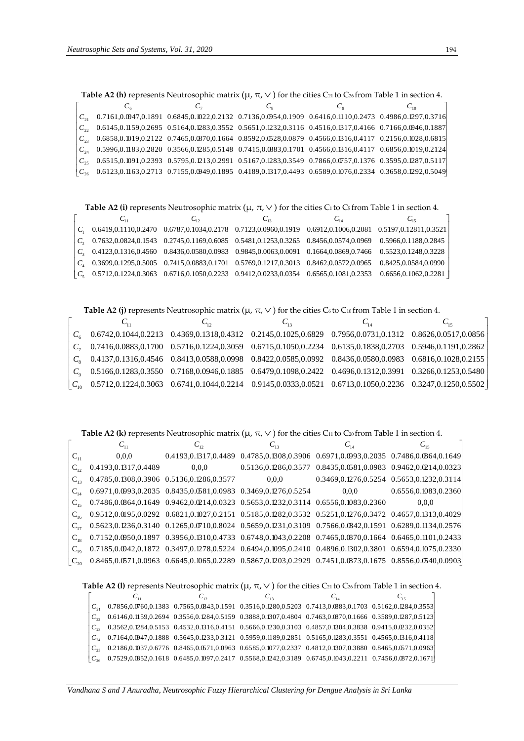| <b>Table A2 (h)</b> represents Neutrosophic matrix ( $\mu$ , $\pi$ , $\vee$ ) for the cities C <sub>21</sub> to C <sub>26</sub> from Table 1 in section 4. |  |  |  |                                                                                                                                              |  |  |  |  |
|------------------------------------------------------------------------------------------------------------------------------------------------------------|--|--|--|----------------------------------------------------------------------------------------------------------------------------------------------|--|--|--|--|
|                                                                                                                                                            |  |  |  |                                                                                                                                              |  |  |  |  |
| 0.7161,0.0947,0.1891 0.6845,0.1022,0.2132 0.7136,0.0954,0.1909 0.6416,0.1110,0.2473 0.4986,0.1297,0.3716                                                   |  |  |  |                                                                                                                                              |  |  |  |  |
| 0.6145,0.1159,0.2695 0.5164,0.1283,0.3552 0.5651,0.1232,0.3116 0.4516,0.1317,0.4166 0.7166,0.0946,0.1887                                                   |  |  |  |                                                                                                                                              |  |  |  |  |
| $0.6858, 0.1019, 0.2122 \quad 0.7465, 0.0870, 0.1664 \quad 0.8592, 0.0528, 0.0879 \quad 0.4566, 0.1316, 0.4117 \quad 0.2156, 0.1028, 0.6815$               |  |  |  |                                                                                                                                              |  |  |  |  |
| $0.5996, 0.1183, 0.2820 \quad 0.3566, 0.1285, 0.5148 \quad 0.7415, 0.0883, 0.1701 \quad 0.4566, 0.1316, 0.4117 \quad 0.6856, 0.1019, 0.2124$               |  |  |  |                                                                                                                                              |  |  |  |  |
|                                                                                                                                                            |  |  |  | 0.6515,0.1091,0.2393 0.5795,0.1213,0.2991 0.5167,0.1283,0.3549 0.7866,0.0757,0.1376 0.3595,0.1287,0.5117                                     |  |  |  |  |
|                                                                                                                                                            |  |  |  | $0.6123, 0.1163, 0.2713 \quad 0.7155, 0.0949, 0.1895 \quad 0.4189, 0.1317, 0.4493 \quad 0.6589, 0.1076, 0.2334 \quad 0.3658, 0.1292, 0.5049$ |  |  |  |  |

|         |          |                                                                                                                                                  |          | $C_{26}$ 0.6123,0.1163,0.2713 0.7155,0.0949,0.1895 0.4189,0.1317,0.4493 0.6589,0.1076,0.2334 0.3658,0.1292,0.5049 |
|---------|----------|--------------------------------------------------------------------------------------------------------------------------------------------------|----------|-------------------------------------------------------------------------------------------------------------------|
|         |          |                                                                                                                                                  |          |                                                                                                                   |
|         |          |                                                                                                                                                  |          |                                                                                                                   |
|         |          | <b>Table A2 (i)</b> represents Neutrosophic matrix $(\mu, \pi, \vee)$ for the cities C <sub>1</sub> to C <sub>5</sub> from Table 1 in section 4. |          |                                                                                                                   |
|         | $C_{11}$ | $C_{12}$                                                                                                                                         | $C_{14}$ | $C_{15}$                                                                                                          |
|         |          |                                                                                                                                                  |          | 0.6419,0.1110,0.2470 0.6787,0.1034,0.2178 0.7123,0.0960,0.1919 0.6912,0.1006,0.2081 0.5197,0.12811,0.3521         |
|         |          |                                                                                                                                                  |          |                                                                                                                   |
|         |          | 0.7632,0.0824,0.1543 0.2745,0.1169,0.6085 0.5481,0.1253,0.3265 0.8456,0.0574,0.0969                                                              |          | 0.5966,0.1188,0.2845                                                                                              |
|         |          | 0.4123,0.1316,0.4560 0.8436,0.0580,0.0983 0.9845,0.0063,0.0091 0.1664,0.0869,0.7466                                                              |          | 0.5523,0.1248,0.3228                                                                                              |
| $C_{4}$ |          | 0.3699,0.1295,0.5005  0.7415,0.0883,0.1701  0.5769,0.1217,0.3013  0.8462,0.0572,0.0965                                                           |          | 0.8425,0.0584,0.0990                                                                                              |
|         |          | $0.5712, 0.1224, 0.3063$ $0.6716, 0.1050, 0.2233$ $0.9412, 0.0233, 0.0354$ $0.6565, 0.1081, 0.2353$                                              |          | 0.6656,0.1062,0.2281                                                                                              |
|         |          |                                                                                                                                                  |          |                                                                                                                   |

**Table A2 (j)** represents Neutrosophic matrix ( $\mu$ ,  $\pi$ ,  $\vee$  ) for the cities C6 to C10 from Table 1 in section 4.

|  |                                                                                                                                                                     | $C_{12}$ | $C_{14}$ |  |
|--|---------------------------------------------------------------------------------------------------------------------------------------------------------------------|----------|----------|--|
|  | $C_6$ 0.6742,0.1044,0.2213 0.4369,0.1318,0.4312 0.2145,0.1025,0.6829 0.7956,0.0731,0.1312 0.8626,0.0517,0.0856                                                      |          |          |  |
|  | $C_7$ 0.7416,0.0883,0.1700 0.5716,0.1224,0.3059 0.6715,0.1050,0.2234 0.6135,0.1838,0.2703 0.5946,0.1191,0.2862                                                      |          |          |  |
|  | $C_8$ 0.4137,0.1316,0.4546 0.8413,0.0588,0.0998 0.8422,0.0585,0.0992 0.8436,0.0580,0.0983 0.6816,0.1028,0.2155                                                      |          |          |  |
|  | $C_9$ 0.5166,0.1283,0.3550 0.7168,0.0946,0.1885 0.6479,0.1098,0.2422 0.4696,0.1312,0.3991 0.3266,0.1253,0.5480                                                      |          |          |  |
|  | $\begin{bmatrix} C_{10} & 0.5712, 0.1224, 0.3063 & 0.6741, 0.1044, 0.2214 & 0.9145, 0.0333, 0.0521 & 0.6713, 0.1050, 0.2236 & 0.3247, 0.1250, 0.5502 \end{bmatrix}$ |          |          |  |

**Table A2 (k)** represents Neutrosophic matrix ( $\mu$ ,  $\pi$ ,  $\vee$  ) for the cities C11 to C20 from Table 1 in section 4.

|          |                                               | $C_{12}$                                                         | $C_{13}$                                                                                                                                      | $C_{14}$                                                         | $C_{15}$           |
|----------|-----------------------------------------------|------------------------------------------------------------------|-----------------------------------------------------------------------------------------------------------------------------------------------|------------------------------------------------------------------|--------------------|
| $C_{11}$ | 0.0.0                                         |                                                                  | 0.4193,0.1317,0.4489 0.4785,0.1308,0.3906 0.6971,0.0993,0.2035 0.7486,0.0864,0.1649                                                           |                                                                  |                    |
|          | 0.4193, 0.1317, 0.4489                        | 0.0.0                                                            |                                                                                                                                               | 0.5136,0.1286,0.3577  0.8435,0.0581,0.0983  0.9462,0.0214,0.0323 |                    |
| $C_{12}$ | 0.4785, 0.1308, 0.3906 0.5136, 0.1286, 0.3577 |                                                                  | 0.0.0                                                                                                                                         | 0.3469,0.1276,0.5254 0.5653,0.1232,0.3114                        |                    |
| $C_{14}$ |                                               | 0.6971,0.0993,0.2035  0.8435,0.0581,0.0983  0.3469,0.1276,0.5254 |                                                                                                                                               | 0.0.0                                                            | 0.65560.10830.2360 |
| $C_{15}$ |                                               |                                                                  | 0.7486,0.0864,0.1649 0.9462,0.0214,0.0323 0.5653,0.1232,0.3114 0.6556,0.1083,0.2360                                                           |                                                                  | 0.0.0              |
| $C_{16}$ |                                               |                                                                  | 0.9512,0.0195,0.0292 0.6821,0.1027,0.2151 0.5185,0.1282,0.3532 0.5251,0.1276,0.3472 0.4657,0.1313,0.4029                                      |                                                                  |                    |
| $C_{17}$ |                                               |                                                                  | 0.5623,0.1236,0.3140 0.1265,0.0710,0.8024 0.5659,0.1231,0.3109 0.7566,0.0842,0.1591 0.6289,0.1134,0.2576                                      |                                                                  |                    |
|          |                                               |                                                                  | 0.7152,0.0950,0.1897 0.3956,0.1310,0.4733 0.6748,0.1043,0.2208 0.7465,0.0870,0.1664 0.6465,0.1101,0.2433                                      |                                                                  |                    |
| $C_{10}$ |                                               |                                                                  | $0.7185, 0.0942, 0.1872 \quad 0.3497, 0.1278, 0.5224 \quad 0.6494, 0.1095, 0.2410 \quad 0.4896, 0.1302, 0.3801 \quad 0.6594, 0.1075, 0.2330]$ |                                                                  |                    |
| $C_{20}$ |                                               |                                                                  | $0.8465, 0.0571, 0.0963 \quad 0.6645, 0.1065, 0.2289 \quad 0.5867, 0.1203, 0.2929 \quad 0.7451, 0.0873, 0.1675 \quad 0.8556, 0.0540, 0.0903$  |                                                                  |                    |

**Table A2 (1)** represents Neutrosophic matrix  $(\mu, \pi, \vee)$  for the cities C21 to C26 from Table 1 in section 4.

|                                                                                                                                              | $C_{12}$ | $C_{13}$ | $C_{14}$ | $C_{15}$ |
|----------------------------------------------------------------------------------------------------------------------------------------------|----------|----------|----------|----------|
| 0.7856,0.0760,0.1383 0.7565,0.0843,0.1591 0.3516,0.1280,0.5203 0.7413,0.0883,0.1703 0.5162,0.1284,0.3553                                     |          |          |          |          |
| $C_{\gamma}$ 0.6146,0.1159,0.2694 0.3556,0.1284,0.5159 0.3888,0.1307,0.4804 0.7463,0.0870,0.1666 0.3589,0.1287,0.5123                        |          |          |          |          |
| $0.3562, 0.1284, 0.5153 \quad 0.4532, 0.1316, 0.4151 \quad 0.5666, 0.1230, 0.3103 \quad 0.4857, 0.1304, 0.3838 \quad 0.9415, 0.0232, 0.0352$ |          |          |          |          |
| $C_{34}$ 0.7164,0.0947,0.1888 0.5645,0.1233,0.3121 0.5959,0.1189,0.2851 0.5165,0.1283,0.3551 0.4565,0.1316,0.4118                            |          |          |          |          |
| 0.2186,0.1037,0.6776 0.8465,0.0571,0.0963 0.6585,0.1077,0.2337 0.4812,0.1307,0.3880 0.8465,0.0571,0.0963                                     |          |          |          |          |
| $0.7529, 0.0852, 0.1618\;\; 0.6485, 0.1097, 0.2417\;\; 0.5568, 0.1242, 0.3189\;\; 0.6745, 0.1043, 0.2211\;\; 0.7456, 0.0872, 0.1671]$        |          |          |          |          |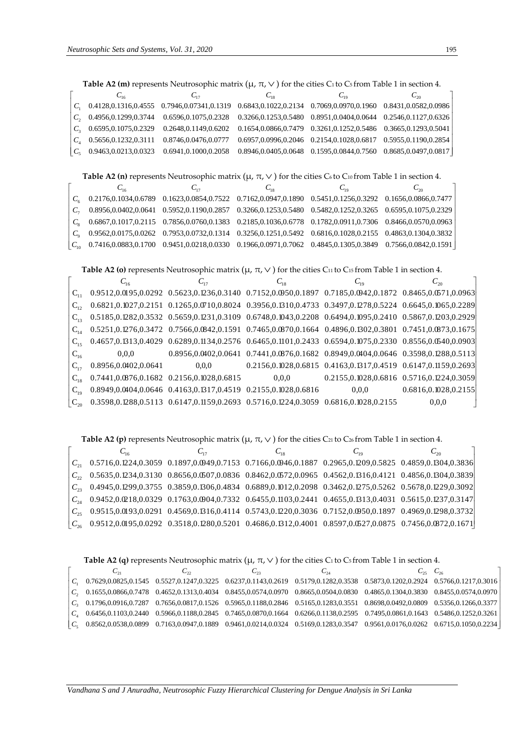|                | <b>Table A2 (m)</b> represents Neutrosophic matrix ( $\mu$ , $\pi$ , $\vee$ ) for the cities C <sub>1</sub> to C <sub>5</sub> from Table 1 in section 4.  |                                                      |          |                                                                                    |                                                                  |  |  |  |
|----------------|-----------------------------------------------------------------------------------------------------------------------------------------------------------|------------------------------------------------------|----------|------------------------------------------------------------------------------------|------------------------------------------------------------------|--|--|--|
|                | $C_{16}$                                                                                                                                                  | $C_{17}$                                             | $C_{18}$ | $C_{10}$                                                                           | $C_{\gamma_0}$                                                   |  |  |  |
|                |                                                                                                                                                           | $C_1$ 0.4128, 0.1316, 0.4555 0.7946, 0.07341, 0.1319 |          | $0.6843, 0.1022, 0.2134 \quad 0.7069, 0.0970, 0.1960 \quad 0.8431, 0.0582, 0.0986$ |                                                                  |  |  |  |
| $C_{\gamma}$   | 0.4956,0.1299,0.3744                                                                                                                                      | 0.6596,0.1075,0.2328                                 |          | 0.3266,0.1253,0.5480  0.8951,0.0404,0.0644  0.2546,0.1127,0.6326                   |                                                                  |  |  |  |
| $C_{2}$        | 0.6595,0.1075,0.2329                                                                                                                                      | 0.2648, 0.1149, 0.6202                               |          | 0.1654,0.0866,0.7479  0.3261,0.1252,0.5486  0.3665,0.1293,0.5041                   |                                                                  |  |  |  |
| $C_{4}$        | 0.5656,0.1232,0.3111                                                                                                                                      | 0.8746,0.0476,0.0777                                 |          | $0.6957, 0.0996, 0.2046$ $0.2154, 0.1028, 0.6817$ $0.5955, 0.1190, 0.2854$         |                                                                  |  |  |  |
| $C_{\epsilon}$ | 0.9463,0.0213,0.0323                                                                                                                                      | 0.6941,0.1000,0.2058                                 |          |                                                                                    | 0.8946,0.0405,0.0648  0.1595,0.0844,0.7560  0.8685,0.0497,0.0817 |  |  |  |
|                |                                                                                                                                                           |                                                      |          |                                                                                    |                                                                  |  |  |  |
|                | <b>Table A2 (n)</b> represents Neutrosophic matrix ( $\mu$ , $\pi$ , $\vee$ ) for the cities C <sub>6</sub> to C <sub>10</sub> from Table 1 in section 4. |                                                      |          |                                                                                    |                                                                  |  |  |  |

|  | $U_{19}$                                                                                                                           |  |
|--|------------------------------------------------------------------------------------------------------------------------------------|--|
|  | $C_6$ 0.2176,0.1034,0.6789 0.1623,0.0854,0.7522 0.7162,0.0947,0.1890 0.5451,0.1256,0.3292 0.1656,0.0866,0.7477                     |  |
|  | $C_7$ 0.8956,0.0402,0.0641 0.5952,0.1190,0.2857 0.3266,0.1253,0.5480 0.5482,0.1252,0.3265 0.6595,0.1075,0.2329                     |  |
|  | $C_8$ 0.6867,0.1017,0.2115 0.7856,0.0760,0.1383 0.2185,0.1036,0.6778 0.1782,0.0911,0.7306 0.8466,0.0570,0.0963                     |  |
|  | $C_9$ $0.9562, 0.0175, 0.0262$ $0.7953, 0.0732, 0.1314$ $0.3256, 0.1251, 0.5492$ $0.6816, 0.1028, 0.2155$ $0.4863, 0.1304, 0.3832$ |  |
|  | $C_{10}$ 0.7416,0.0883,0.1700 0.9451,0.0218,0.0330 0.1966,0.0971,0.7062 0.4845,0.1305,0.3849 0.7566,0.0842,0.1591                  |  |

**Table A2 (o)** represents Neutrosophic matrix (µ, π, ) for the cities C11 to C15 from Table 1 in section 4.

|          |                                           | $C_{12}$                                                         | $C_{18}$                                                                                                 | $C_{19}$                                                         |                        |
|----------|-------------------------------------------|------------------------------------------------------------------|----------------------------------------------------------------------------------------------------------|------------------------------------------------------------------|------------------------|
| $C_{11}$ |                                           |                                                                  | 0.9512,0.0195,0.0292 0.5623,0.1236,0.3140 0.7152,0.0950,0.1897 0.7185,0.0942,0.1872 0.8465,0.0571,0.0963 |                                                                  |                        |
| $C_{12}$ |                                           |                                                                  | 0.6821,0.1027,0.2151 0.1265,0.0710,0.8024 0.3956,0.1310,0.4733 0.3497,0.1278,0.5224 0.6645,0.1065,0.2289 |                                                                  |                        |
|          |                                           |                                                                  | 0.5185,0.1282,0.3532 0.5659,0.1231,0.3109 0.6748,0.1043,0.2208 0.6494,0.1095,0.2410 0.5867,0.1203,0.2929 |                                                                  |                        |
| $C_{14}$ |                                           |                                                                  | 0.5251,0.1276,0.3472 0.7566,0.0842,0.1591 0.7465,0.0870,0.1664 0.4896,0.1302,0.3801 0.7451,0.0873,0.1675 |                                                                  |                        |
| $C_{15}$ |                                           |                                                                  | 0.4657,0.1313,0.4029 0.6289,0.1134,0.2576 0.6465,0.1101,0.2433 0.6594,0.1075,0.2330 0.8556,0.0540,0.0903 |                                                                  |                        |
| $C_{16}$ | 0.0.0                                     |                                                                  | 0.8956,0.0402,0.0641 0.7441,0.0876,0.1682 0.8949,0.0404,0.0646 0.3598,0.1288,0.5113                      |                                                                  |                        |
|          | 0.8956,0.0402,0.0641                      | 0.0.0                                                            |                                                                                                          | 0.2156,0.1028,0.6815  0.4163,0.1317,0.4519  0.6147,0.1159,0.2693 |                        |
| $C_{18}$ | 0.7441,0.0876,0.1682 0.2156,0.1028,0.6815 |                                                                  | 0.0.0                                                                                                    | 0.2155,0.1028,0.6816 0.5716,0.1224,0.3059                        |                        |
|          |                                           | 0.8949,0.0404,0.0646  0.4163,0.1317,0.4519  0.2155,0.1028,0.6816 |                                                                                                          | 0.0.0                                                            | 0.6816, 0.1028, 0.2155 |
|          |                                           |                                                                  | 0.3598,0.1288,0.5113 0.6147,0.1159,0.2693 0.5716,0.1224,0.3059 0.6816,0.1028,0.2155                      |                                                                  | 0.0.0                  |

**Table A2 (p)** represents Neutrosophic matrix ( $\mu$ ,  $\pi$ ,  $\vee$  ) for the cities C21 to C26 from Table 1 in section 4.

| $C_{16}$ | $C_{17}$                                                                                                                                     | $C_{18}$ | $C_{19}$ | $C_{20}$ |
|----------|----------------------------------------------------------------------------------------------------------------------------------------------|----------|----------|----------|
|          | $0.5716, 0.1224, 0.3059 \quad 0.1897, 0.0949, 0.7153 \quad 0.7166, 0.0946, 0.1887 \quad 0.2965, 0.1209, 0.5825 \quad 0.4859, 0.1304, 0.3836$ |          |          |          |
|          | 0.5635,0.1234,0.3130 0.8656,0.0507,0.0836 0.8462,0.0572,0.0965 0.4562,0.1316,0.4121 0.4856,0.1304,0.3839                                     |          |          |          |
|          | $C_{33}$ 0.4945,0.1299,0.3755 0.3859,0.1306,0.4834 0.6889,0.1012,0.2098 0.3462,0.1275,0.5262 0.5678,0.1229,0.3092                            |          |          |          |
|          | 0.9452,0.0218,0.0329 0.1763,0.0904,0.7332 0.6455,0.1103,0.2441 0.4655,0.1313,0.4031 0.5615,0.1237,0.3147                                     |          |          |          |
|          | 0.9515,0.0193,0.0291 0.4569,0.1316,0.4114 0.5743,0.1220,0.3036 0.7152,0.0950,0.1897 0.4969,0.1298,0.3732                                     |          |          |          |
|          | $C_{26}$ 0.9512,0.0195,0.0292 0.3518,0.1280,0.5201 0.4686,0.1312,0.4001 0.8597,0.0527,0.0875 0.7456,0.0872,0.1671                            |          |          |          |

**Table A2 (q)** represents Neutrosophic matrix  $(\mu, \pi, \vee)$  for the cities C<sub>1</sub> to C<sub>5</sub> from Table 1 in section 4.

|  | しぃ | $\mathbf{C}_{22}$ | ر مب |                                                                                                                                                                                           |
|--|----|-------------------|------|-------------------------------------------------------------------------------------------------------------------------------------------------------------------------------------------|
|  |    |                   |      | $C_1 \quad 0.7629, 0.0825, 0.1545 \quad 0.5527, 0.1247, 0.3225 \quad 0.6237, 0.1143, 0.2619 \quad 0.5179, 0.1282, 0.3538 \quad 0.5873, 0.1202, 0.2924 \quad 0.5766, 0.1217, 0.3016$       |
|  |    |                   |      | $C, \quad 0.1655, 0.0866, 0.7478 \quad 0.4652, 0.1313, 0.4034 \quad 0.8455, 0.0574, 0.0970 \quad 0.8665, 0.0504, 0.0830 \quad 0.4865, 0.1304, 0.3830 \quad 0.8455, 0.0574, 0.0970$        |
|  |    |                   |      | $C_3$ 0.1796,0.0916,0.7287 0.7656,0.0817,0.1526 0.5965,0.1188,0.2846 0.5165,0.1283,0.3551 0.8698,0.0492,0.0809 0.5356,0.1266,0.3377                                                       |
|  |    |                   |      | $\begin{bmatrix} C_4 & 0.64560.11030.2440 & 0.59660.11880.2845 & 0.74650.08700.1664 & 0.62660.11380.2595 & 0.74950.08610.1643 & 0.54860.12520.3261 \end{bmatrix}$                         |
|  |    |                   |      | $\begin{bmatrix} C_5 & 0.8562, 0.0538, 0.0899 & 0.7163, 0.0947, 0.1889 & 0.9461, 0.0214, 0.0324 & 0.5169, 0.1283, 0.3547 & 0.9561, 0.0176, 0.0262 & 0.6715, 0.1050, 0.2234 \end{bmatrix}$ |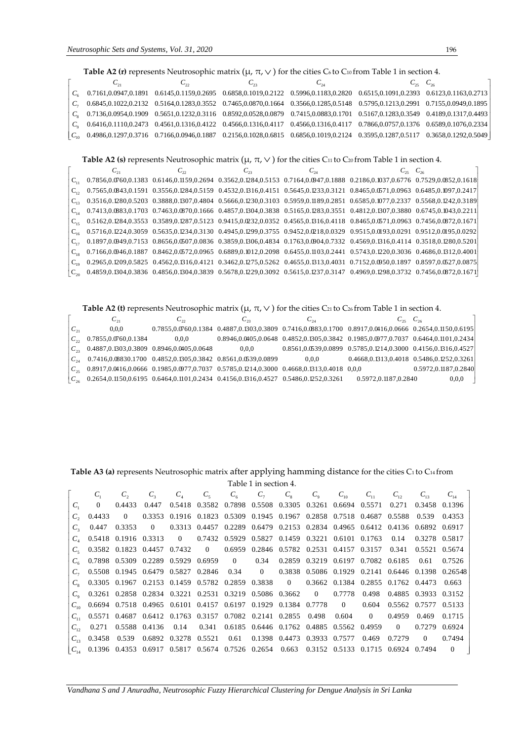#### **Table A2 (r)** represents Neutrosophic matrix ( $\mu$ ,  $\pi$ ,  $\vee$  ) for the cities C<sub>6</sub> to C<sub>10</sub> from Table 1 in section 4.

|                |          |              | <b>Table A2 (r)</b> represents Neutrosophic matrix ( $\mu$ , $\pi$ , $\vee$ ) for the cities C <sub>6</sub> to C <sub>10</sub> from Table 1 in section 4. |          |                   |
|----------------|----------|--------------|-----------------------------------------------------------------------------------------------------------------------------------------------------------|----------|-------------------|
|                | $C_{21}$ | $C_{\gamma}$ | $C_{23}$                                                                                                                                                  | $C_{24}$ | $C_{25}$ $C_{26}$ |
| $C_{\epsilon}$ |          |              | 0.7161,0.0947,0.1891 0.6145,0.1159,0.2695 0.6858,0.1019,0.2122 0.5996,0.1183,0.2820 0.6515,0.1091,0.2393 0.6123,0.1163,0.2713                             |          |                   |
|                |          |              | 0.6845,0.1022,0.2132 0.5164,0.1283,0.3552 0.7465,0.0870,0.1664 0.3566,0.1285,0.5148 0.5795,0.1213,0.2991 0.7155,0.0949,0.1895                             |          |                   |
| $C_{\circ}$    |          |              | 0.7136,0.0954,0.1909 0.5651,0.1232,0.3116 0.8592,0.0528,0.0879 0.7415,0.0883,0.1701 0.5167,0.1283,0.3549 0.4189,0.1317,0.4493                             |          |                   |
| $C_{\alpha}$   |          |              | 0.6416,0.1110,0.2473 0.4561,0.1316,0.4122 0.4566,0.1316,0.4117 0.4566,0.1316,0.4117 0.7866,0.0757,0.1376 0.6589,0.1076,0.2334                             |          |                   |
| $C_{10}$       |          |              | 0.4986,0.1297,0.3716 0.7166,0.0946,0.1887 0.2156,0.1028,0.6815 0.6856,0.1019,0.2124 0.3595,0.1287,0.5117 0.3658,0.1292,0.5049                             |          |                   |

#### **Table A2 (s)** represents Neutrosophic matrix (μ, π, ∨) for the cities C11 to C20 from Table 1 in section 4.

| $C_{21}$                                                                                                                               | $C_{\cdot}$                                                                                                                   | $C_{\gamma}$ | $C_{24}$ |  |
|----------------------------------------------------------------------------------------------------------------------------------------|-------------------------------------------------------------------------------------------------------------------------------|--------------|----------|--|
|                                                                                                                                        | 0.7856,0.0760,0.1383 0.6146,0.1159,0.2694 0.3562,0.1284,0.5153 0.7164,0.0947,0.1888 0.2186,0.1037,0.6776 0.7529,0.0852,0.1618 |              |          |  |
|                                                                                                                                        | 0.7565,0.0843,0.1591 0.3556,0.1284,0.5159 0.4532,0.1316,0.4151 0.5645,0.1233,0.3121 0.8465,0.0571,0.0963 0.6485,0.1097,0.2417 |              |          |  |
|                                                                                                                                        | 0.3516,0.1280,0.5203 0.3888,0.1307,0.4804 0.5666,0.1230,0.3103 0.5959,0.1189,0.2851 0.6585,0.1077,0.2337 0.5568,0.1242,0.3189 |              |          |  |
| 0.7413,0.0883,0.1703 0.7463,0.0870,0.1666 0.4857,0.1304,0.3838 0.5165,0.1283,0.3551 0.4812,0.1307,0.3880 0.6745,0.1043,0.2211          |                                                                                                                               |              |          |  |
| 0.5162,0.1284,0.3553 0.3589,0.1287,0.5123 0.9415,0.0232,0.0352 0.4565,0.1316,0.4118 0.8465,0.0571,0.0963 0.7456,0.0672,0.1671          |                                                                                                                               |              |          |  |
| $C_{16}$ 0.5716,0.1224,0.3059 0.5635,0.1234,0.3130 0.4945,0.1299,0.3755 0.9452,0.0218,0.0329 0.9515,0.0193,0.0291 0.9512,0.0195,0.0292 |                                                                                                                               |              |          |  |
| 0.1897,0.0949,0.7153 0.8656,0.0507,0.0836 0.3859,0.1306,0.4834 0.1763,0.0904,0.7332 0.4569,0.1316,0.4114 0.3518,0.1280,0.5201          |                                                                                                                               |              |          |  |
|                                                                                                                                        | 0.7166,0.0946,0.1887 0.8462,0.0572,0.0965 0.6889,0.1012,0.2098 0.6455,0.1103,0.2441 0.5743,0.1220,0.3036 0.4686,0.1312,0.4001 |              |          |  |
|                                                                                                                                        | 0.2965,0.1209,0.5825 0.4562,0.1316,0.4121 0.3462,0.1275,0.5262 0.4655,0.1313,0.4031 0.7152,0.0950,0.1897 0.8597,0.0527,0.0875 |              |          |  |
|                                                                                                                                        | 0.4859,0.1304,0.3836 0.4856,0.1304,0.3839 0.5678,0.1229,0.3092 0.5615,0.1237,0.3147 0.4969,0.1298,0.3732 0.7456,0.0872,0.1671 |              |          |  |

**Table A2 (t)** represents Neutrosophic matrix  $(\mu, \pi, \vee)$  for the cities C21 to C26 from Table 1 in section 4.

|                      | $C_{21}$             | $C_{22}$                                                                               | $C_{23}$ | $C_{24}$                                                                                  | $\mathbf{u}_{25}$                                                                                        | $C_{\gamma\kappa}$   |
|----------------------|----------------------|----------------------------------------------------------------------------------------|----------|-------------------------------------------------------------------------------------------|----------------------------------------------------------------------------------------------------------|----------------------|
| $C_{21}$             | 0.0.0                |                                                                                        |          |                                                                                           | 0.7855,0.0760,0.1384 0.4887,0.1303,0.3809 0.7416,0.0883,0.1700 0.8917,0.0416,0.0666 0.2654,0.1150,0.6195 |                      |
| $C_{\gamma\gamma}$   | 0.7855,0.0760,0.1384 | 0.0.0                                                                                  |          |                                                                                           | 0.8946,0.0405,0.0648 0.4852,0.1305,0.3842 0.1985,0.0977,0.7037 0.6464,0.1101,0.2434                      |                      |
| $ C_{ii} $           |                      | 0.4887,0.1303,0.3809 0.8946,0.0405,0.0648                                              | 0.0.0    |                                                                                           | 0.8561,0.0539,0.0899  0.5785,0.1214,0.3000  0.4156,0.1316,0.4527                                         |                      |
| $C_{24}$             |                      | 0.7416,0.08830.1700  0.4852,0.1305,0.3842  0.8561,0.0539,0.0899                        |          | 0.0.0                                                                                     | 0.4668, 0.1313, 0.4018 0.5486, 0.1252, 0.3261                                                            |                      |
| $C_{\alpha\epsilon}$ |                      |                                                                                        |          | 0.8917,0.0416,0.0666 0.1985,0.0977,0.7037 0.5785,0.1214,0.3000 0.4668,0.1313,0.4018 0,0,0 |                                                                                                          | 0.5972.0.1187.0.2840 |
| $C_{26}$             |                      | 0.2654,0.1150,0.6195  0.6464,0.1101,0.2434  0.4156,0.1316,0.4527  0.5486,0.1252,0.3261 |          |                                                                                           | 0.5972.0.1187.0.2840                                                                                     | 0.0.0                |

# Table A3 (a) represents Neutrosophic matrix after applying hamming distance for the cities C1 to C14 from

 $T = \frac{1}{2}$ 

|          |           |         |       |  | - Lable T in section 4. |  |  |                                                                                                      |                                                                                                   |
|----------|-----------|---------|-------|--|-------------------------|--|--|------------------------------------------------------------------------------------------------------|---------------------------------------------------------------------------------------------------|
|          |           | $C_{2}$ | $C_3$ |  |                         |  |  |                                                                                                      | $C_4$ $C_5$ $C_6$ $C_7$ $C_8$ $C_9$ $C_{10}$ $C_{11}$ $C_{12}$ $C_{13}$ $C_{14}$ ]                |
|          | $C_{1}$ 0 |         |       |  |                         |  |  | 0.4433 0.447 0.5418 0.3582 0.7898 0.5508 0.3305 0.3261 0.6694 0.5571 0.271 0.3458 0.1396             |                                                                                                   |
| $C_{2}$  |           |         |       |  |                         |  |  | 0.4433 0 0.3353 0.1916 0.1823 0.5309 0.1945 0.1967 0.2858 0.7518 0.4687 0.5588 0.539 0.4353          |                                                                                                   |
|          |           |         |       |  |                         |  |  | $C$ , 0.447 0.3353 0 0.3313 0.4457 0.2289 0.6479 0.2153 0.2834 0.4965 0.6412 0.4136 0.6892 0.6917    |                                                                                                   |
|          |           |         |       |  |                         |  |  | $C_1$ 0.5418 0.1916 0.3313 0 0.7432 0.5929 0.5827 0.1459 0.3221 0.6101 0.1763 0.14 0.3278 0.5817     |                                                                                                   |
|          |           |         |       |  |                         |  |  | $C_e$ 0.3582 0.1823 0.4457 0.7432 0 0.6959 0.2846 0.5782 0.2531 0.4157 0.3157 0.341 0.5521 0.5674    |                                                                                                   |
|          |           |         |       |  |                         |  |  | $C_{6}$ 0.7898 0.5309 0.2289 0.5929 0.6959 0 0.34 0.2859 0.3219 0.6197 0.7082 0.6185 0.61 0.7526     |                                                                                                   |
|          |           |         |       |  |                         |  |  |                                                                                                      | $C_7$ 0.5508 0.1945 0.6479 0.5827 0.2846 0.34 0 0.3838 0.5086 0.1929 0.2141 0.6446 0.1398 0.26548 |
|          |           |         |       |  |                         |  |  | $C_s$ 0.3305 0.1967 0.2153 0.1459 0.5782 0.2859 0.3838 0 0.3662 0.1384 0.2855 0.1762 0.4473 0.663    |                                                                                                   |
|          |           |         |       |  |                         |  |  | $C_0$ 0.3261 0.2858 0.2834 0.3221 0.2531 0.3219 0.5086 0.3662 0 0.7778 0.498 0.4885 0.3933 0.3152    |                                                                                                   |
|          |           |         |       |  |                         |  |  | $C_{10}$ 0.6694 0.7518 0.4965 0.6101 0.4157 0.6197 0.1929 0.1384 0.7778 0 0.604 0.5562 0.7577 0.5133 |                                                                                                   |
| $C_{11}$ |           |         |       |  |                         |  |  | 0.5571 0.4687 0.6412 0.1763 0.3157 0.7082 0.2141 0.2855 0.498 0.604 0 0.4959 0.469 0.1715            |                                                                                                   |
| $C_{12}$ |           |         |       |  |                         |  |  | 0.271 0.5588 0.4136 0.14 0.341 0.6185 0.6446 0.1762 0.4885 0.5562 0.4959 0 0.7279 0.6924             |                                                                                                   |
|          |           |         |       |  |                         |  |  | $C_{13}$ 0.3458 0.539 0.6892 0.3278 0.5521 0.61 0.1398 0.4473 0.3933 0.7577 0.469 0.7279 0 0.7494    |                                                                                                   |
|          |           |         |       |  |                         |  |  | $C_{14}$ 0.1396 0.4353 0.6917 0.5817 0.5674 0.7526 0.2654 0.663 0.3152 0.5133 0.1715 0.6924 0.7494 0 |                                                                                                   |

*Vandhana S and J Anuradha, Neutrosophic Fuzzy Hierarchical Clustering for Dengue Analysis in Sri Lanka*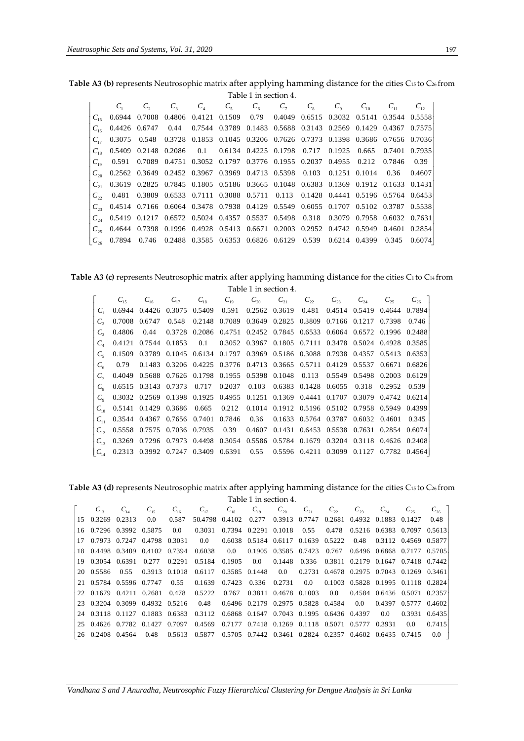**Table A3 (b)** represents Neutrosophic matrix after applying hamming distance for the cities C<sup>15</sup> to C<sup>26</sup> from Table 1 in section 4.

|                                                                                                |  |  | $1a(2)$ $1a(3)$ $3c(1)$ |  |  |                                                                              |
|------------------------------------------------------------------------------------------------|--|--|-------------------------|--|--|------------------------------------------------------------------------------|
|                                                                                                |  |  |                         |  |  | $C_2$ $C_3$ $C_4$ $C_5$ $C_6$ $C_7$ $C_8$ $C_9$ $C_{10}$ $C_{11}$ $C_{12}$ ] |
| $C_{15}$ 0.6944 0.7008 0.4806 0.4121 0.1509 0.79 0.4049 0.6515 0.3032 0.5141 0.3544 0.5558     |  |  |                         |  |  |                                                                              |
| $C_{16}$ 0.4426 0.6747 0.44 0.7544 0.3789 0.1483 0.5688 0.3143 0.2569 0.1429 0.4367 0.7575     |  |  |                         |  |  |                                                                              |
| $C_{17}$ 0.3075 0.548 0.3728 0.1853 0.1045 0.3206 0.7626 0.7373 0.1398 0.3686 0.7656 0.7036    |  |  |                         |  |  |                                                                              |
| $C_{18}$ 0.5409 0.2148 0.2086 0.1 0.6134 0.4225 0.1798 0.717 0.1925 0.665 0.7401 0.7935        |  |  |                         |  |  |                                                                              |
| 0.591 0.7089 0.4751 0.3052 0.1797 0.3776 0.1955 0.2037 0.4955 0.212 0.7846 0.39                |  |  |                         |  |  |                                                                              |
| 0.2562 0.3649 0.2452 0.3967 0.3969 0.4713 0.5398 0.103 0.1251 0.1014 0.36 0.4607               |  |  |                         |  |  |                                                                              |
| $C_{21}$ 0.3619 0.2825 0.7845 0.1805 0.5186 0.3665 0.1048 0.6383 0.1369 0.1912 0.1633 0.1431   |  |  |                         |  |  |                                                                              |
| $C_{\gamma}$ 0.481 0.3809 0.6533 0.7111 0.3088 0.5711 0.113 0.1428 0.4441 0.5196 0.5764 0.6453 |  |  |                         |  |  |                                                                              |
| $C_{23}$ 0.4514 0.7166 0.6064 0.3478 0.7938 0.4129 0.5549 0.6055 0.1707 0.5102 0.3787 0.5538   |  |  |                         |  |  |                                                                              |
| $C_{34}$ 0.5419 0.1217 0.6572 0.5024 0.4357 0.5537 0.5498 0.318 0.3079 0.7958 0.6032 0.7631    |  |  |                         |  |  |                                                                              |
| $C_{25}$ 0.4644 0.7398 0.1996 0.4928 0.5413 0.6671 0.2003 0.2952 0.4742 0.5949 0.4601 0.2854   |  |  |                         |  |  |                                                                              |
| $ C_{26} $ 0.7894 0.746 0.2488 0.3585 0.6353 0.6826 0.6129 0.539 0.6214 0.4399 0.345 0.6074    |  |  |                         |  |  |                                                                              |

**Table A3 (c)** represents Neutrosophic matrix after applying hamming distance for the cities C1 to C<sup>14</sup> from Table 1 in section 4.

|                   |                                                                                         |                                                                                     |  | . 1 adje + 111 section 4. |  |  |                                                                                                    |
|-------------------|-----------------------------------------------------------------------------------------|-------------------------------------------------------------------------------------|--|---------------------------|--|--|----------------------------------------------------------------------------------------------------|
|                   |                                                                                         |                                                                                     |  |                           |  |  | $C_{16}$ $C_{17}$ $C_{18}$ $C_{19}$ $C_{20}$ $C_{21}$ $C_{22}$ $C_{23}$ $C_{24}$ $C_{25}$ $C_{26}$ |
|                   | $C_1$ 0.6944 0.4426 0.3075 0.5409 0.591 0.2562 0.3619 0.481 0.4514 0.5419 0.4644 0.7894 |                                                                                     |  |                           |  |  |                                                                                                    |
|                   |                                                                                         | 0.7008 0.6747 0.548 0.2148 0.7089 0.3649 0.2825 0.3809 0.7166 0.1217 0.7398 0.746   |  |                           |  |  |                                                                                                    |
| $C_{\rm 2}$       | 0.4806                                                                                  | 0.44 0.3728 0.2086 0.4751 0.2452 0.7845 0.6533 0.6064 0.6572 0.1996 0.2488          |  |                           |  |  |                                                                                                    |
|                   |                                                                                         | 0.4121 0.7544 0.1853 0.1 0.3052 0.3967 0.1805 0.7111 0.3478 0.5024 0.4928 0.3585    |  |                           |  |  |                                                                                                    |
| $C_{\varepsilon}$ |                                                                                         | 0.1509 0.3789 0.1045 0.6134 0.1797 0.3969 0.5186 0.3088 0.7938 0.4357 0.5413 0.6353 |  |                           |  |  |                                                                                                    |
| $C_{\epsilon}$    | 0.79                                                                                    | 0.1483 0.3206 0.4225 0.3776 0.4713 0.3665 0.5711 0.4129 0.5537 0.6671 0.6826        |  |                           |  |  |                                                                                                    |
|                   |                                                                                         | 0.4049 0.5688 0.7626 0.1798 0.1955 0.5398 0.1048 0.113 0.5549 0.5498 0.2003 0.6129  |  |                           |  |  |                                                                                                    |
| $C_{\circ}$       |                                                                                         | 0.6515 0.3143 0.7373 0.717 0.2037 0.103 0.6383 0.1428 0.6055 0.318 0.2952 0.539     |  |                           |  |  |                                                                                                    |
|                   |                                                                                         | 0.3032 0.2569 0.1398 0.1925 0.4955 0.1251 0.1369 0.4441 0.1707 0.3079 0.4742 0.6214 |  |                           |  |  |                                                                                                    |
|                   |                                                                                         | 0.5141 0.1429 0.3686 0.665 0.212 0.1014 0.1912 0.5196 0.5102 0.7958 0.5949 0.4399   |  |                           |  |  |                                                                                                    |
| $C_{11}$          | 0.3544 0.4367 0.7656 0.7401 0.7846 0.36 0.1633 0.5764 0.3787 0.6032 0.4601 0.345        |                                                                                     |  |                           |  |  |                                                                                                    |
|                   |                                                                                         | 0.5558 0.7575 0.7036 0.7935 0.39 0.4607 0.1431 0.6453 0.5538 0.7631 0.2854 0.6074   |  |                           |  |  |                                                                                                    |
| $C_{12}$          |                                                                                         | 0.3269 0.7296 0.7973 0.4498 0.3054 0.5586 0.5784 0.1679 0.3204 0.3118 0.4626 0.2408 |  |                           |  |  |                                                                                                    |
| $C_{14}$          | 0.2313 0.3992 0.7247 0.3409 0.6391 0.55 0.5596 0.4211 0.3099 0.1127 0.7782 0.4564       |                                                                                     |  |                           |  |  |                                                                                                    |
|                   |                                                                                         |                                                                                     |  |                           |  |  |                                                                                                    |

**Table A3 (d)** represents Neutrosophic matrix after applying hamming distance for the cities C<sup>15</sup> to C<sup>26</sup> from

|                        |  |       | $C_{16}$ $C_{17}$ $C_{18}$ $C_{10}$ $C_{20}$ $C_{21}$ $C_{22}$ $C_{23}$ $C_{24}$ $C_{25}$ $C_{26}$                                                                 |  |  |  |               |        |
|------------------------|--|-------|--------------------------------------------------------------------------------------------------------------------------------------------------------------------|--|--|--|---------------|--------|
| $15$ 0.3269 0.2313 0.0 |  | 0.587 | 50.4798 0.4102 0.277 0.3913 0.7747 0.2681 0.4932 0.1883 0.1427 0.48                                                                                                |  |  |  |               |        |
|                        |  |       | $\begin{array}{cccccc} 16 & 0.7296 & 0.3992 & 0.5875 & 0.0 & 0.3031 & 0.7394 & 0.2291 & 0.1018 & 0.55 & 0.478 & 0.5216 & 0.6383 & 0.7097 & 0.5613 \end{array}$     |  |  |  |               |        |
|                        |  |       | 17 0.7973 0.7247 0.4798 0.3031 0.0 0.6038 0.5184 0.6117 0.1639 0.5222 0.48 0.3112 0.4569 0.5877                                                                    |  |  |  |               |        |
|                        |  |       | 18 0.4498 0.3409 0.4102 0.7394 0.6038 0.0 0.1905 0.3585 0.7423 0.767 0.6496 0.6868 0.7177 0.5705                                                                   |  |  |  |               |        |
| 19 03054 06391         |  |       | 0.277 0.2291 0.5184 0.1905 0.0 0.1448 0.336 0.3811 0.2179 0.1647 0.7418 0.7442                                                                                     |  |  |  |               |        |
|                        |  |       | 20 0.5586 0.55 0.3913 0.1018 0.6117 0.3585 0.1448 0.0 0.2731 0.4678 0.2975 0.7043 0.1269 0.3461                                                                    |  |  |  |               |        |
|                        |  |       | 21 0.5784 0.5596 0.7747 0.55 0.1639 0.7423 0.336 0.2731 0.0 0.1003 0.5828 0.1995 0.1118 0.2824                                                                     |  |  |  |               |        |
|                        |  |       | 22 0.1679 0.4211 0.2681 0.478 0.5222 0.767 0.3811 0.4678 0.1003 0.0 0.4584 0.6436 0.5071 0.2357                                                                    |  |  |  |               |        |
|                        |  |       | $\begin{bmatrix} 23 & 0.3204 & 0.3099 & 0.4932 & 0.5216 & 0.48 & 0.6496 & 0.2179 & 0.2975 & 0.5828 & 0.4584 & 0.0 & 0.4397 & 0.5777 & 0.4602 \end{bmatrix}$        |  |  |  |               |        |
|                        |  |       | 24 0.3118 0.1127 0.1883 0.6383 0.3112 0.6868 0.1647 0.7043 0.1995 0.6436 0.4397 0.0                                                                                |  |  |  | 0.3931 0.6435 |        |
|                        |  |       | 25 0.4626 0.7782 0.1427 0.7097 0.4569 0.7177 0.7418 0.1269 0.1118 0.5071 0.5777 0.3931                                                                             |  |  |  | 0.0           | 0.7415 |
|                        |  |       | $\begin{array}{ccccccccc} 26 & 0.2408 & 0.4564 & 0.48 & 0.5613 & 0.5877 & 0.5705 & 0.7442 & 0.3461 & 0.2824 & 0.2357 & 0.4602 & 0.6435 & 0.7415 & 0.0 \end{array}$ |  |  |  |               |        |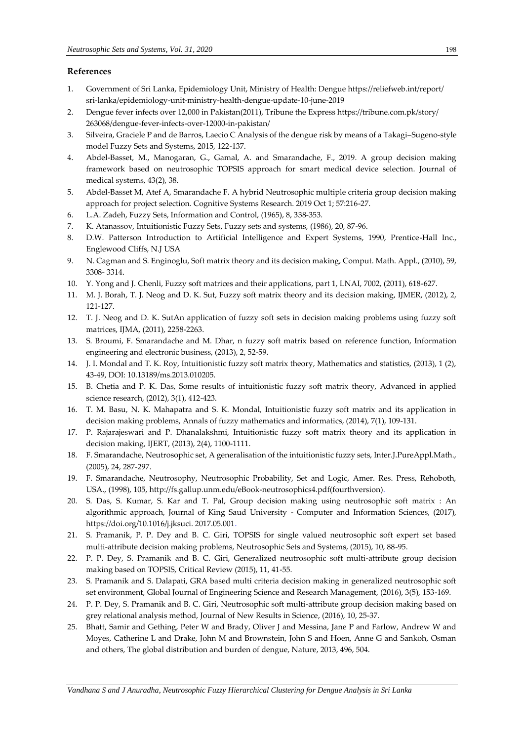# **References**

- 1. Government of Sri Lanka, Epidemiology Unit, Ministry of Health: Dengue https://reliefweb.int/report/ sri-lanka/epidemiology-unit-ministry-health-dengue-update-10-june-2019
- 2. Dengue fever infects over 12,000 in Pakistan(2011), Tribune the Express https://tribune.com.pk/story/ 263068/dengue-fever-infects-over-12000-in-pakistan/
- 3. Silveira, Graciele P and de Barros, Laecio C Analysis of the dengue risk by means of a Takagi–Sugeno-style model Fuzzy Sets and Systems, 2015, 122-137.
- 4. Abdel-Basset, M., Manogaran, G., Gamal, A. and Smarandache, F., 2019. A group decision making framework based on neutrosophic TOPSIS approach for smart medical device selection. Journal of medical systems, 43(2), 38.
- 5. Abdel-Basset M, Atef A, Smarandache F. A hybrid Neutrosophic multiple criteria group decision making approach for project selection. Cognitive Systems Research. 2019 Oct 1; 57:216-27.
- 6. L.A. Zadeh, Fuzzy Sets, Information and Control, (1965), 8, 338-353.
- 7. K. Atanassov, Intuitionistic Fuzzy Sets, Fuzzy sets and systems, (1986), 20, 87-96.
- 8. D.W. Patterson Introduction to Artificial Intelligence and Expert Systems, 1990, Prentice-Hall Inc., Englewood Cliffs, N.J USA
- 9. N. Cagman and S. Enginoglu, Soft matrix theory and its decision making, Comput. Math. Appl., (2010), 59, 3308- 3314.
- 10. Y. Yong and J. Chenli, Fuzzy soft matrices and their applications, part 1, LNAI, 7002, (2011), 618-627.
- 11. M. J. Borah, T. J. Neog and D. K. Sut, Fuzzy soft matrix theory and its decision making, IJMER, (2012), 2, 121-127.
- 12. T. J. Neog and D. K. SutAn application of fuzzy soft sets in decision making problems using fuzzy soft matrices, IJMA, (2011), 2258-2263.
- 13. S. Broumi, F. Smarandache and M. Dhar, n fuzzy soft matrix based on reference function, Information engineering and electronic business, (2013), 2, 52-59.
- 14. J. I. Mondal and T. K. Roy, Intuitionistic fuzzy soft matrix theory, Mathematics and statistics, (2013), 1 (2), 43-49, DOI: 10.13189/ms.2013.010205.
- 15. B. Chetia and P. K. Das, Some results of intuitionistic fuzzy soft matrix theory, Advanced in applied science research, (2012), 3(1), 412-423.
- 16. T. M. Basu, N. K. Mahapatra and S. K. Mondal, Intuitionistic fuzzy soft matrix and its application in decision making problems, Annals of fuzzy mathematics and informatics, (2014), 7(1), 109-131.
- 17. P. Rajarajeswari and P. Dhanalakshmi, Intuitionistic fuzzy soft matrix theory and its application in decision making, IJERT, (2013), 2(4), 1100-1111.
- 18. F. Smarandache, Neutrosophic set, A generalisation of the intuitionistic fuzzy sets, Inter.J.PureAppl.Math., (2005), 24, 287-297.
- 19. F. Smarandache, Neutrosophy, Neutrosophic Probability, Set and Logic, Amer. Res. Press, Rehoboth, USA., (1998), 105, http://fs.gallup.unm.edu/eBook-neutrosophics4.pdf(fourthversion).
- 20. S. Das, S. Kumar, S. Kar and T. Pal, Group decision making using neutrosophic soft matrix : An algorithmic approach, Journal of King Saud University - Computer and Information Sciences, (2017), https://doi.org/10.1016/j.jksuci. 2017.05.001.
- 21. S. Pramanik, P. P. Dey and B. C. Giri, TOPSIS for single valued neutrosophic soft expert set based multi-attribute decision making problems, Neutrosophic Sets and Systems, (2015), 10, 88-95.
- 22. P. P. Dey, S. Pramanik and B. C. Giri, Generalized neutrosophic soft multi-attribute group decision making based on TOPSIS, Critical Review (2015), 11, 41-55.
- 23. S. Pramanik and S. Dalapati, GRA based multi criteria decision making in generalized neutrosophic soft set environment, Global Journal of Engineering Science and Research Management, (2016), 3(5), 153-169.
- 24. P. P. Dey, S. Pramanik and B. C. Giri, Neutrosophic soft multi-attribute group decision making based on grey relational analysis method, Journal of New Results in Science, (2016), 10, 25-37.
- 25. Bhatt, Samir and Gething, Peter W and Brady, Oliver J and Messina, Jane P and Farlow, Andrew W and Moyes, Catherine L and Drake, John M and Brownstein, John S and Hoen, Anne G and Sankoh, Osman and others, The global distribution and burden of dengue, Nature, 2013, 496, 504.